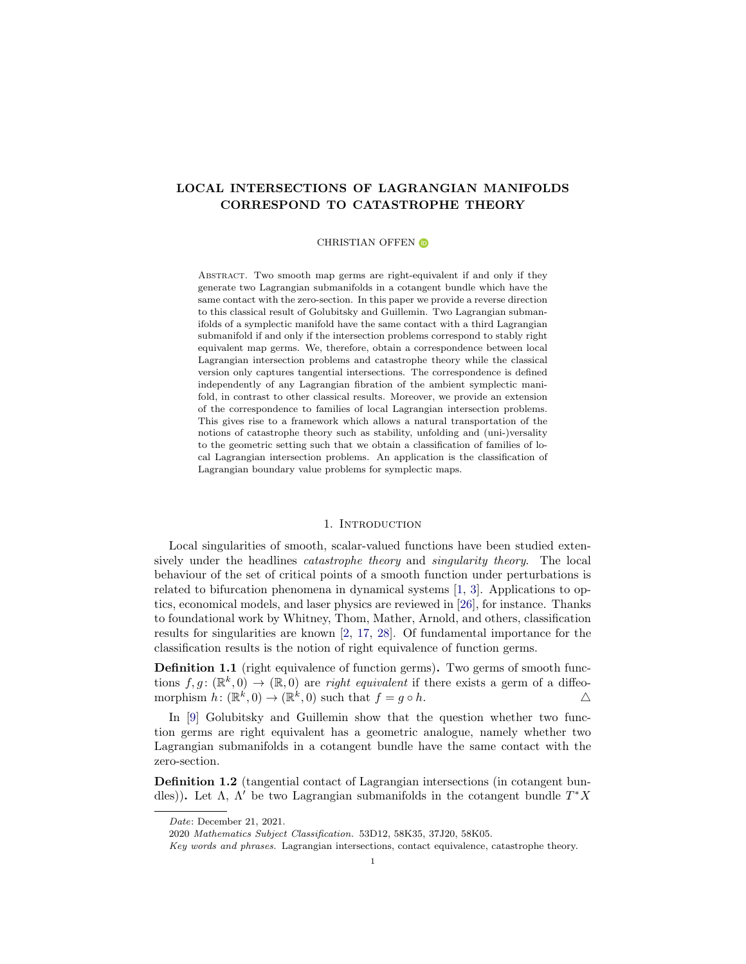# LOCAL INTERSECTIONS OF LAGRANGIAN MANIFOLDS CORRESPOND TO CATASTROPHE THEORY

#### CHRISTIAN OFFEN **D**

Abstract. Two smooth map germs are right-equivalent if and only if they generate two Lagrangian submanifolds in a cotangent bundle which have the same contact with the zero-section. In this paper we provide a reverse direction to this classical result of Golubitsky and Guillemin. Two Lagrangian submanifolds of a symplectic manifold have the same contact with a third Lagrangian submanifold if and only if the intersection problems correspond to stably right equivalent map germs. We, therefore, obtain a correspondence between local Lagrangian intersection problems and catastrophe theory while the classical version only captures tangential intersections. The correspondence is defined independently of any Lagrangian fibration of the ambient symplectic manifold, in contrast to other classical results. Moreover, we provide an extension of the correspondence to families of local Lagrangian intersection problems. This gives rise to a framework which allows a natural transportation of the notions of catastrophe theory such as stability, unfolding and (uni-)versality to the geometric setting such that we obtain a classification of families of local Lagrangian intersection problems. An application is the classification of Lagrangian boundary value problems for symplectic maps.

## 1. INTRODUCTION

<span id="page-0-0"></span>Local singularities of smooth, scalar-valued functions have been studied extensively under the headlines catastrophe theory and singularity theory. The local behaviour of the set of critical points of a smooth function under perturbations is related to bifurcation phenomena in dynamical systems [\[1,](#page-25-0) [3\]](#page-26-0). Applications to optics, economical models, and laser physics are reviewed in [\[26\]](#page-27-0), for instance. Thanks to foundational work by Whitney, Thom, Mather, Arnold, and others, classification results for singularities are known [\[2,](#page-26-1) [17,](#page-26-2) [28\]](#page-27-1). Of fundamental importance for the classification results is the notion of right equivalence of function germs.

**Definition 1.1** (right equivalence of function germs). Two germs of smooth functions  $f, g: (\mathbb{R}^k, 0) \to (\mathbb{R}, 0)$  are *right equivalent* if there exists a germ of a diffeomorphism  $h: (\mathbb{R}^k, 0) \to (\mathbb{R}^k, 0)$  such that  $f = g \circ h$ .

In [\[9\]](#page-26-3) Golubitsky and Guillemin show that the question whether two function germs are right equivalent has a geometric analogue, namely whether two Lagrangian submanifolds in a cotangent bundle have the same contact with the zero-section.

Definition 1.2 (tangential contact of Lagrangian intersections (in cotangent bundles)). Let  $\Lambda$ ,  $\Lambda'$  be two Lagrangian submanifolds in the cotangent bundle  $T^*X$ 

Date: December 21, 2021.

<sup>2020</sup> Mathematics Subject Classification. 53D12, 58K35, 37J20, 58K05.

Key words and phrases. Lagrangian intersections, contact equivalence, catastrophe theory.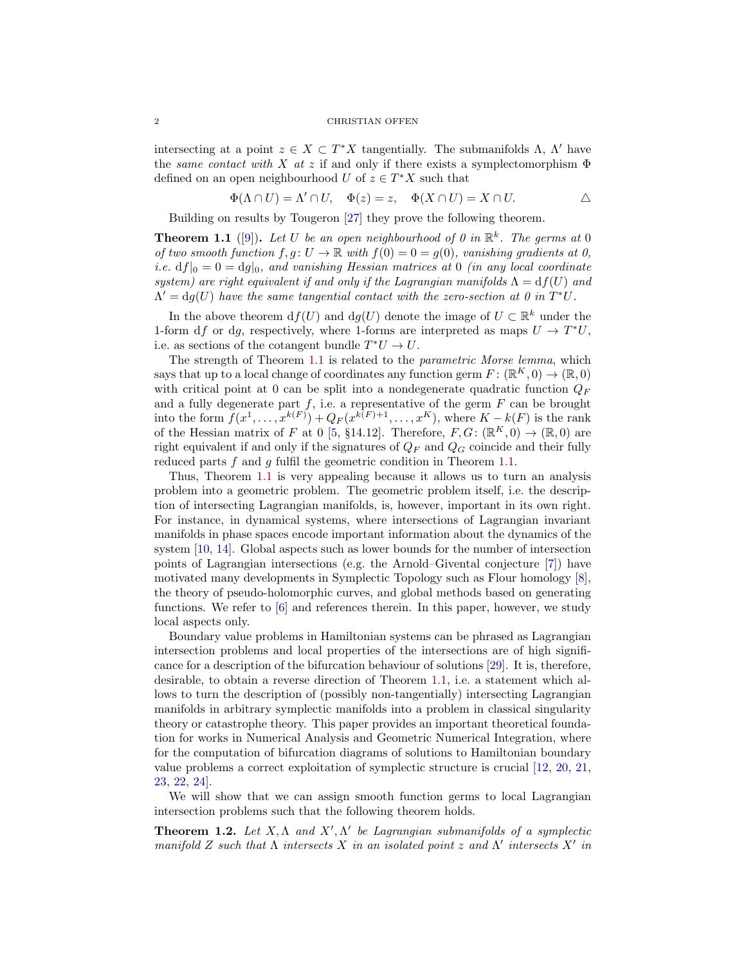#### 2 CHRISTIAN OFFEN

intersecting at a point  $z \in X \subset T^*X$  tangentially. The submanifolds  $\Lambda$ ,  $\Lambda'$  have the same contact with X at z if and only if there exists a symplectomorphism  $\Phi$ defined on an open neighbourhood U of  $z \in T^*X$  such that

$$
\Phi(\Lambda \cap U) = \Lambda' \cap U, \quad \Phi(z) = z, \quad \Phi(X \cap U) = X \cap U.
$$

Building on results by Tougeron [\[27\]](#page-27-2) they prove the following theorem.

<span id="page-1-0"></span>**Theorem 1.1** ([\[9\]](#page-26-3)). Let U be an open neighbourhood of 0 in  $\mathbb{R}^k$ . The germs at 0 of two smooth function  $f, g: U \to \mathbb{R}$  with  $f(0) = 0 = g(0)$ , vanishing gradients at 0, i.e.  $df|_0 = 0 = dg|_0$ , and vanishing Hessian matrices at 0 (in any local coordinate system) are right equivalent if and only if the Lagrangian manifolds  $\Lambda = df(U)$  and  $\Lambda' = dg(U)$  have the same tangential contact with the zero-section at 0 in  $T^*U$ .

In the above theorem  $df(U)$  and  $dg(U)$  denote the image of  $U \subset \mathbb{R}^k$  under the 1-form df or dg, respectively, where 1-forms are interpreted as maps  $U \to T^*U$ , i.e. as sections of the cotangent bundle  $T^*U \to U$ .

The strength of Theorem [1.1](#page-1-0) is related to the *parametric Morse lemma*, which says that up to a local change of coordinates any function germ  $F: (\mathbb{R}^K, 0) \to (\mathbb{R}, 0)$ with critical point at 0 can be split into a nondegenerate quadratic function  $Q_F$ and a fully degenerate part  $f$ , i.e. a representative of the germ  $F$  can be brought into the form  $f(x^1, \ldots, x^{k(F)}) + Q_F(x^{k(F)+1}, \ldots, x^K)$ , where  $K - k(F)$  is the rank of the Hessian matrix of F at 0 [\[5,](#page-26-4) §14.12]. Therefore,  $F, G: (\mathbb{R}^K, 0) \to (\mathbb{R}, 0)$  are right equivalent if and only if the signatures of  $Q_F$  and  $Q_G$  coincide and their fully reduced parts  $f$  and  $g$  fulfil the geometric condition in Theorem [1.1.](#page-1-0)

Thus, Theorem [1.1](#page-1-0) is very appealing because it allows us to turn an analysis problem into a geometric problem. The geometric problem itself, i.e. the description of intersecting Lagrangian manifolds, is, however, important in its own right. For instance, in dynamical systems, where intersections of Lagrangian invariant manifolds in phase spaces encode important information about the dynamics of the system [\[10,](#page-26-5) [14\]](#page-26-6). Global aspects such as lower bounds for the number of intersection points of Lagrangian intersections (e.g. the Arnold–Givental conjecture [\[7\]](#page-26-7)) have motivated many developments in Symplectic Topology such as Flour homology [\[8\]](#page-26-8), the theory of pseudo-holomorphic curves, and global methods based on generating functions. We refer to [\[6\]](#page-26-9) and references therein. In this paper, however, we study local aspects only.

Boundary value problems in Hamiltonian systems can be phrased as Lagrangian intersection problems and local properties of the intersections are of high significance for a description of the bifurcation behaviour of solutions [\[29\]](#page-27-3). It is, therefore, desirable, to obtain a reverse direction of Theorem [1.1,](#page-1-0) i.e. a statement which allows to turn the description of (possibly non-tangentially) intersecting Lagrangian manifolds in arbitrary symplectic manifolds into a problem in classical singularity theory or catastrophe theory. This paper provides an important theoretical foundation for works in Numerical Analysis and Geometric Numerical Integration, where for the computation of bifurcation diagrams of solutions to Hamiltonian boundary value problems a correct exploitation of symplectic structure is crucial [\[12,](#page-26-10) [20,](#page-27-4) [21,](#page-27-5) [23,](#page-27-6) [22,](#page-27-7) [24\]](#page-27-8).

We will show that we can assign smooth function germs to local Lagrangian intersection problems such that the following theorem holds.

<span id="page-1-1"></span>**Theorem 1.2.** Let  $X, \Lambda$  and  $X', \Lambda'$  be Lagrangian submanifolds of a symplectic manifold Z such that  $\Lambda$  intersects X in an isolated point z and  $\Lambda'$  intersects X' in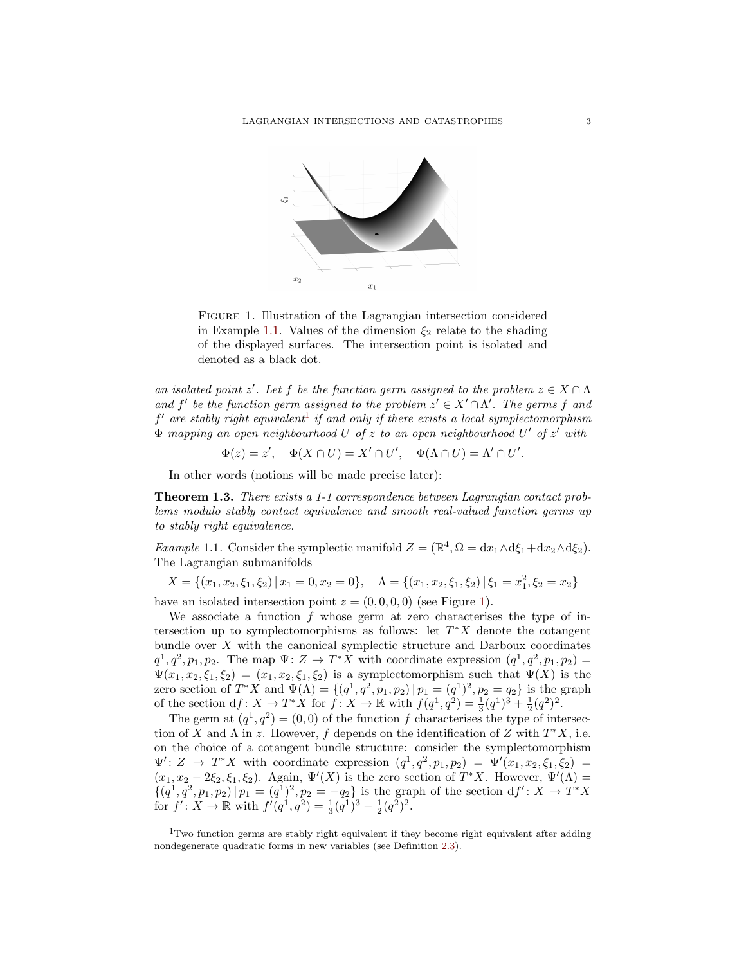

<span id="page-2-2"></span>Figure 1. Illustration of the Lagrangian intersection considered in Example [1.1.](#page-2-0) Values of the dimension  $\xi_2$  relate to the shading of the displayed surfaces. The intersection point is isolated and denoted as a black dot.

an isolated point z'. Let f be the function germ assigned to the problem  $z \in X \cap \Lambda$ and f' be the function germ assigned to the problem  $z' \in X' \cap \Lambda'$ . The germs f and  $f'$  are stably right equivalent<sup>[1](#page-2-1)</sup> if and only if there exists a local symplectomorphism  $\Phi$  mapping an open neighbourhood U of z to an open neighbourhood U' of z' with

$$
\Phi(z) = z', \quad \Phi(X \cap U) = X' \cap U', \quad \Phi(\Lambda \cap U) = \Lambda' \cap U'.
$$

In other words (notions will be made precise later):

<span id="page-2-3"></span>Theorem 1.3. There exists a 1-1 correspondence between Lagrangian contact problems modulo stably contact equivalence and smooth real-valued function germs up to stably right equivalence.

<span id="page-2-0"></span>*Example* 1.1. Consider the symplectic manifold  $Z = (\mathbb{R}^4, \Omega = dx_1 \wedge d\xi_1 + dx_2 \wedge d\xi_2)$ . The Lagrangian submanifolds

 $X = \{(x_1, x_2, \xi_1, \xi_2) | x_1 = 0, x_2 = 0\}, \quad \Lambda = \{(x_1, x_2, \xi_1, \xi_2) | \xi_1 = x_1^2, \xi_2 = x_2\}$ 

have an isolated intersection point  $z = (0, 0, 0, 0)$  (see Figure [1\)](#page-2-2).

We associate a function  $f$  whose germ at zero characterises the type of intersection up to symplectomorphisms as follows: let  $T^*X$  denote the cotangent bundle over  $X$  with the canonical symplectic structure and Darboux coordinates  $q^1, q^2, p_1, p_2$ . The map  $\Psi: Z \to T^*X$  with coordinate expression  $(q^1, q^2, p_1, p_2)$  =  $\Psi(x_1, x_2, \xi_1, \xi_2) = (x_1, x_2, \xi_1, \xi_2)$  is a symplectomorphism such that  $\Psi(X)$  is the zero section of  $T^*X$  and  $\Psi(\Lambda) = \{(q^1, q^2, p_1, p_2) | p_1 = (q^1)^2, p_2 = q_2\}$  is the graph of the section  $df: X \to T^*X$  for  $f: X \to \mathbb{R}$  with  $f(q^1, q^2) = \frac{1}{3}(q^1)^3 + \frac{1}{2}(q^2)^2$ .

The germ at  $(q^1, q^2) = (0, 0)$  of the function f characterises the type of intersection of X and  $\Lambda$  in z. However, f depends on the identification of Z with  $T^*X$ , i.e. on the choice of a cotangent bundle structure: consider the symplectomorphism  $\Psi' : Z \rightarrow T^*X$  with coordinate expression  $(q^1, q^2, p_1, p_2) = \Psi'(x_1, x_2, \xi_1, \xi_2) =$  $(x_1, x_2 - 2\xi_2, \xi_1, \xi_2)$ . Again,  $\Psi'(X)$  is the zero section of  $T^*X$ . However,  $\Psi'(\Lambda)$  =  $\{(q^1, q^2, p_1, p_2) | p_1 = (q^1)^2, p_2 = -q_2\}$  is the graph of the section  $df' : X \to T^*X$ for  $f' : X \to \mathbb{R}$  with  $f'(q^1, q^2) = \frac{1}{3}(q^1)^3 - \frac{1}{2}(q^2)^2$ .

<span id="page-2-1"></span><sup>1</sup>Two function germs are stably right equivalent if they become right equivalent after adding nondegenerate quadratic forms in new variables (see Definition [2.3\)](#page-5-0).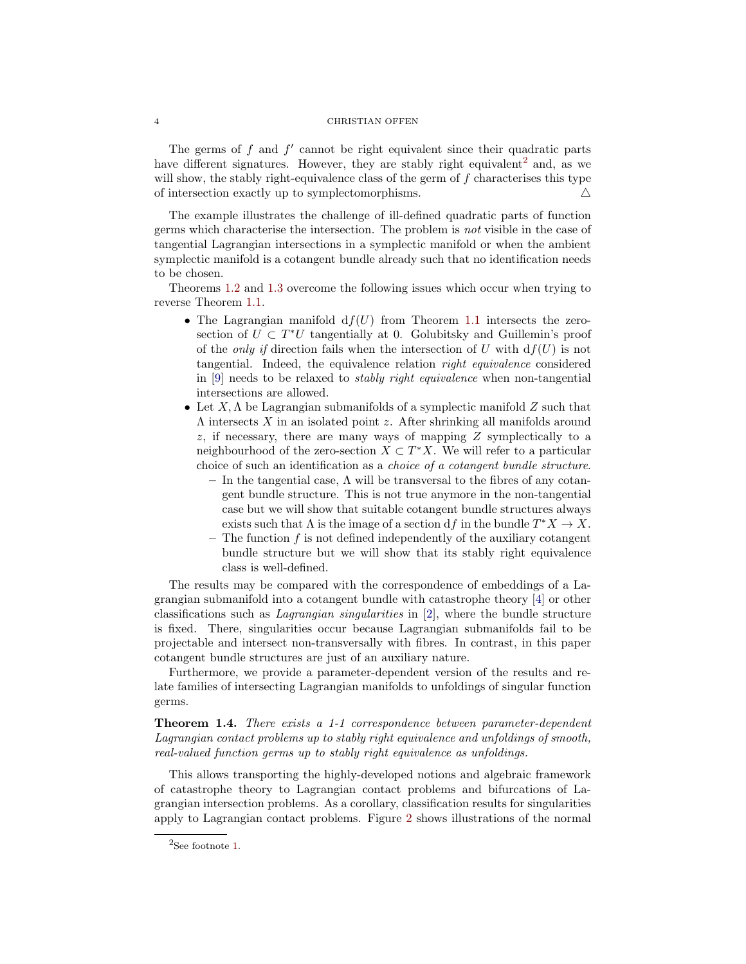### 4 CHRISTIAN OFFEN

The germs of  $f$  and  $f'$  cannot be right equivalent since their quadratic parts have different signatures. However, they are stably right equivalent<sup>[2](#page-3-0)</sup> and, as we will show, the stably right-equivalence class of the germ of  $f$  characterises this type of intersection exactly up to symplectomorphisms.  $\triangle$ 

The example illustrates the challenge of ill-defined quadratic parts of function germs which characterise the intersection. The problem is not visible in the case of tangential Lagrangian intersections in a symplectic manifold or when the ambient symplectic manifold is a cotangent bundle already such that no identification needs to be chosen.

Theorems [1.2](#page-1-1) and [1.3](#page-2-3) overcome the following issues which occur when trying to reverse Theorem [1.1.](#page-1-0)

- The Lagrangian manifold  $df(U)$  from Theorem [1.1](#page-1-0) intersects the zerosection of  $U \subset T^*U$  tangentially at 0. Golubitsky and Guillemin's proof of the *only if* direction fails when the intersection of U with  $df(U)$  is not tangential. Indeed, the equivalence relation right equivalence considered in  $[9]$  needs to be relaxed to *stably right equivalence* when non-tangential intersections are allowed.
- Let  $X, \Lambda$  be Lagrangian submanifolds of a symplectic manifold Z such that  $\Lambda$  intersects  $X$  in an isolated point  $z$ . After shrinking all manifolds around  $z$ , if necessary, there are many ways of mapping  $Z$  symplectically to a neighbourhood of the zero-section  $X \subset T^*X$ . We will refer to a particular choice of such an identification as a choice of a cotangent bundle structure.
	- $-$  In the tangential case,  $\Lambda$  will be transversal to the fibres of any cotangent bundle structure. This is not true anymore in the non-tangential case but we will show that suitable cotangent bundle structures always exists such that  $\Lambda$  is the image of a section df in the bundle  $T^*X \to X$ .
	- $-$  The function  $f$  is not defined independently of the auxiliary cotangent bundle structure but we will show that its stably right equivalence class is well-defined.

The results may be compared with the correspondence of embeddings of a Lagrangian submanifold into a cotangent bundle with catastrophe theory [\[4\]](#page-26-11) or other classifications such as Lagrangian singularities in [\[2\]](#page-26-1), where the bundle structure is fixed. There, singularities occur because Lagrangian submanifolds fail to be projectable and intersect non-transversally with fibres. In contrast, in this paper cotangent bundle structures are just of an auxiliary nature.

Furthermore, we provide a parameter-dependent version of the results and relate families of intersecting Lagrangian manifolds to unfoldings of singular function germs.

<span id="page-3-1"></span>Theorem 1.4. There exists a 1-1 correspondence between parameter-dependent Lagrangian contact problems up to stably right equivalence and unfoldings of smooth, real-valued function germs up to stably right equivalence as unfoldings.

This allows transporting the highly-developed notions and algebraic framework of catastrophe theory to Lagrangian contact problems and bifurcations of Lagrangian intersection problems. As a corollary, classification results for singularities apply to Lagrangian contact problems. Figure [2](#page-4-0) shows illustrations of the normal

<span id="page-3-0"></span> $2$ See footnote [1.](#page-2-1)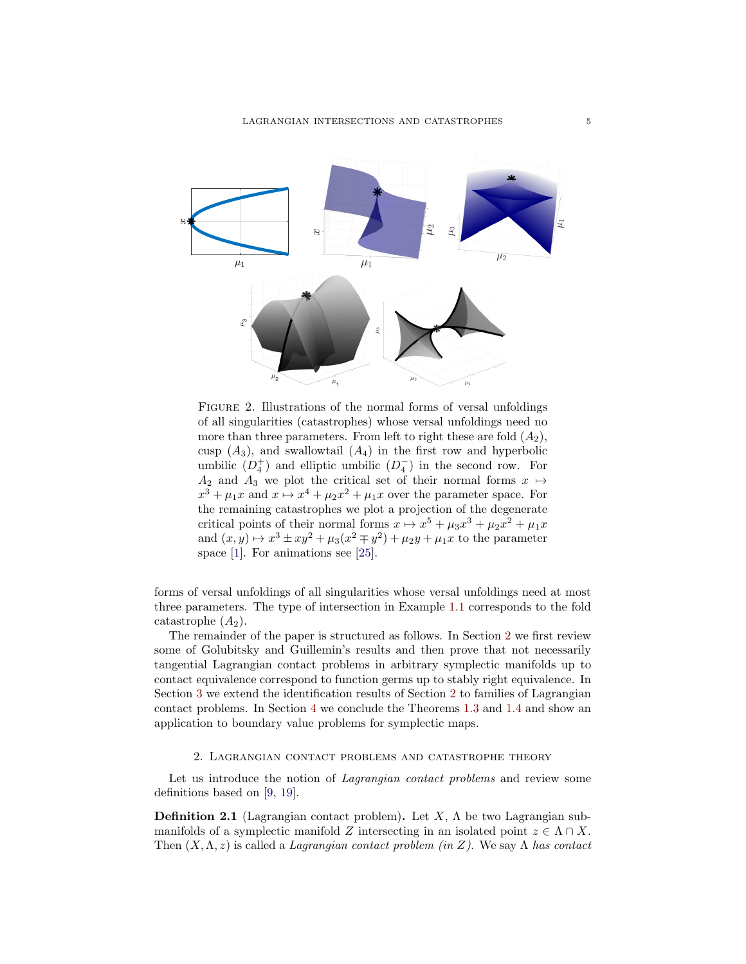

<span id="page-4-0"></span>Figure 2. Illustrations of the normal forms of versal unfoldings of all singularities (catastrophes) whose versal unfoldings need no more than three parameters. From left to right these are fold  $(A_2)$ , cusp  $(A_3)$ , and swallowtail  $(A_4)$  in the first row and hyperbolic umbilic  $(D_4^+)$  and elliptic umbilic  $(D_4^-)$  in the second row. For  $A_2$  and  $A_3$  we plot the critical set of their normal forms  $x \mapsto$  $x^3 + \mu_1 x$  and  $x \mapsto x^4 + \mu_2 x^2 + \mu_1 x$  over the parameter space. For the remaining catastrophes we plot a projection of the degenerate critical points of their normal forms  $x \mapsto x^5 + \mu_3 x^3 + \mu_2 x^2 + \mu_1 x$ and  $(x, y) \mapsto x^3 \pm xy^2 + \mu_3(x^2 \mp y^2) + \mu_2 y + \mu_1 x$  to the parameter space [\[1\]](#page-25-0). For animations see [\[25\]](#page-27-9).

forms of versal unfoldings of all singularities whose versal unfoldings need at most three parameters. The type of intersection in Example [1.1](#page-2-0) corresponds to the fold catastrophe  $(A_2)$ .

The remainder of the paper is structured as follows. In Section [2](#page-4-1) we first review some of Golubitsky and Guillemin's results and then prove that not necessarily tangential Lagrangian contact problems in arbitrary symplectic manifolds up to contact equivalence correspond to function germs up to stably right equivalence. In Section [3](#page-17-0) we extend the identification results of Section [2](#page-4-1) to families of Lagrangian contact problems. In Section [4](#page-23-0) we conclude the Theorems [1.3](#page-2-3) and [1.4](#page-3-1) and show an application to boundary value problems for symplectic maps.

## 2. Lagrangian contact problems and catastrophe theory

<span id="page-4-1"></span>Let us introduce the notion of *Lagrangian contact problems* and review some definitions based on [\[9,](#page-26-3) [19\]](#page-27-10).

**Definition 2.1** (Lagrangian contact problem). Let  $X$ ,  $\Lambda$  be two Lagrangian submanifolds of a symplectic manifold Z intersecting in an isolated point  $z \in \Lambda \cap X$ . Then  $(X, \Lambda, z)$  is called a *Lagrangian contact problem (in Z)*. We say  $\Lambda$  has contact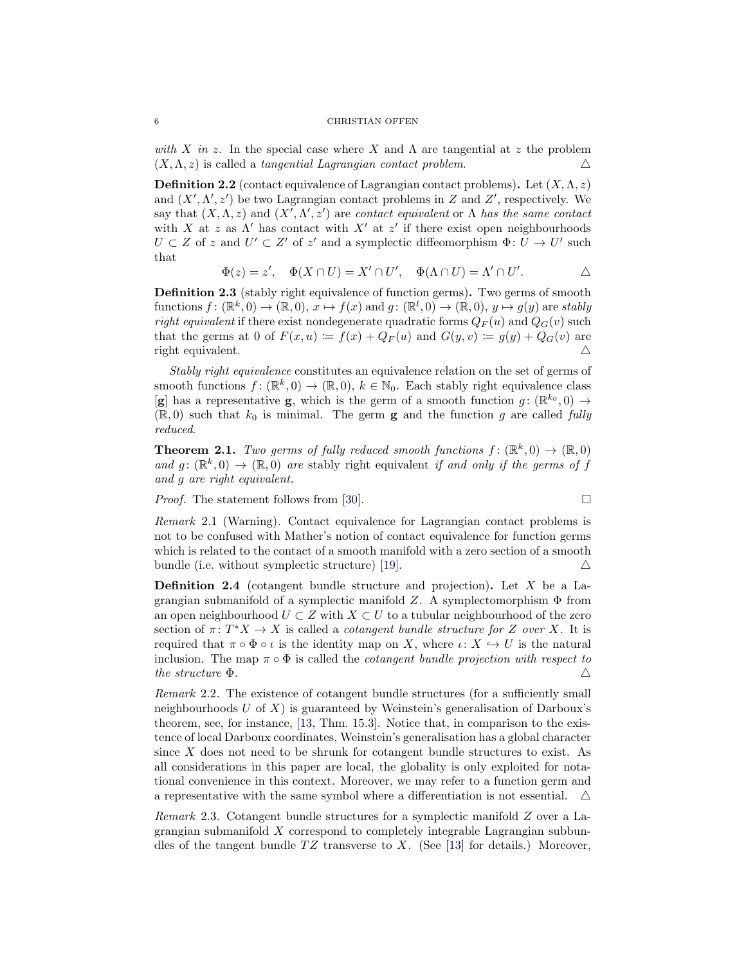with X in z. In the special case where X and  $\Lambda$  are tangential at z the problem  $(X, \Lambda, z)$  is called a tangential Lagrangian contact problem.

**Definition 2.2** (contact equivalence of Lagrangian contact problems). Let  $(X, \Lambda, z)$ and  $(X', \Lambda', z')$  be two Lagrangian contact problems in Z and Z', respectively. We say that  $(X, \Lambda, z)$  and  $(X', \Lambda', z')$  are contact equivalent or  $\Lambda$  has the same contact with X at z as  $\Lambda'$  has contact with X' at z' if there exist open neighbourhoods  $U \subset Z$  of z and  $U' \subset Z'$  of z' and a symplectic diffeomorphism  $\Phi: U \to U'$  such that

$$
\Phi(z) = z', \quad \Phi(X \cap U) = X' \cap U', \quad \Phi(\Lambda \cap U) = \Lambda' \cap U'.
$$

<span id="page-5-0"></span>Definition 2.3 (stably right equivalence of function germs). Two germs of smooth functions  $f: (\mathbb{R}^k, 0) \to (\mathbb{R}, 0), x \mapsto f(x)$  and  $g: (\mathbb{R}^l, 0) \to (\mathbb{R}, 0), y \mapsto g(y)$  are stably right equivalent if there exist nondegenerate quadratic forms  $Q_F(u)$  and  $Q_G(v)$  such that the germs at 0 of  $F(x, u) := f(x) + Q_F(u)$  and  $G(y, v) := g(y) + Q_G(v)$  are right equivalent.  $\triangle$ 

Stably right equivalence constitutes an equivalence relation on the set of germs of smooth functions  $f: (\mathbb{R}^k, 0) \to (\mathbb{R}, 0), k \in \mathbb{N}_0$ . Each stably right equivalence class  $[g]$  has a representative g, which is the germ of a smooth function  $g: (\mathbb{R}^{k_0}, 0) \to$  $(\mathbb{R},0)$  such that  $k_0$  is minimal. The germ **g** and the function g are called fully reduced.

<span id="page-5-2"></span>**Theorem 2.1.** Two germs of fully reduced smooth functions  $f : (\mathbb{R}^k, 0) \to (\mathbb{R}, 0)$ and  $g: (\mathbb{R}^k, 0) \to (\mathbb{R}, 0)$  are stably right equivalent if and only if the germs of f and g are right equivalent.

Proof. The statement follows from [\[30\]](#page-27-11).

$$
\Box
$$

Remark 2.1 (Warning). Contact equivalence for Lagrangian contact problems is not to be confused with Mather's notion of contact equivalence for function germs which is related to the contact of a smooth manifold with a zero section of a smooth bundle (i.e. without symplectic structure) [\[19\]](#page-27-10).  $\triangle$ 

**Definition 2.4** (cotangent bundle structure and projection). Let  $X$  be a Lagrangian submanifold of a symplectic manifold Z. A symplectomorphism  $\Phi$  from an open neighbourhood  $U \subset Z$  with  $X \subset U$  to a tubular neighbourhood of the zero section of  $\pi: T^*X \to X$  is called a *cotangent bundle structure for* Z *over* X. It is required that  $\pi \circ \Phi \circ \iota$  is the identity map on X, where  $\iota \colon X \hookrightarrow U$  is the natural inclusion. The map  $\pi \circ \Phi$  is called the *cotangent bundle projection with respect to* the structure  $\Phi$ .

Remark 2.2. The existence of cotangent bundle structures (for a sufficiently small neighbourhoods  $U$  of  $X$ ) is guaranteed by Weinstein's generalisation of Darboux's theorem, see, for instance, [\[13,](#page-26-12) Thm. 15.3]. Notice that, in comparison to the existence of local Darboux coordinates, Weinstein's generalisation has a global character since  $X$  does not need to be shrunk for cotangent bundle structures to exist. As all considerations in this paper are local, the globality is only exploited for notational convenience in this context. Moreover, we may refer to a function germ and a representative with the same symbol where a differentiation is not essential.  $\Delta$ 

<span id="page-5-1"></span>Remark 2.3. Cotangent bundle structures for a symplectic manifold Z over a Lagrangian submanifold X correspond to completely integrable Lagrangian subbundles of the tangent bundle  $TZ$  transverse to X. (See [\[13\]](#page-26-12) for details.) Moreover,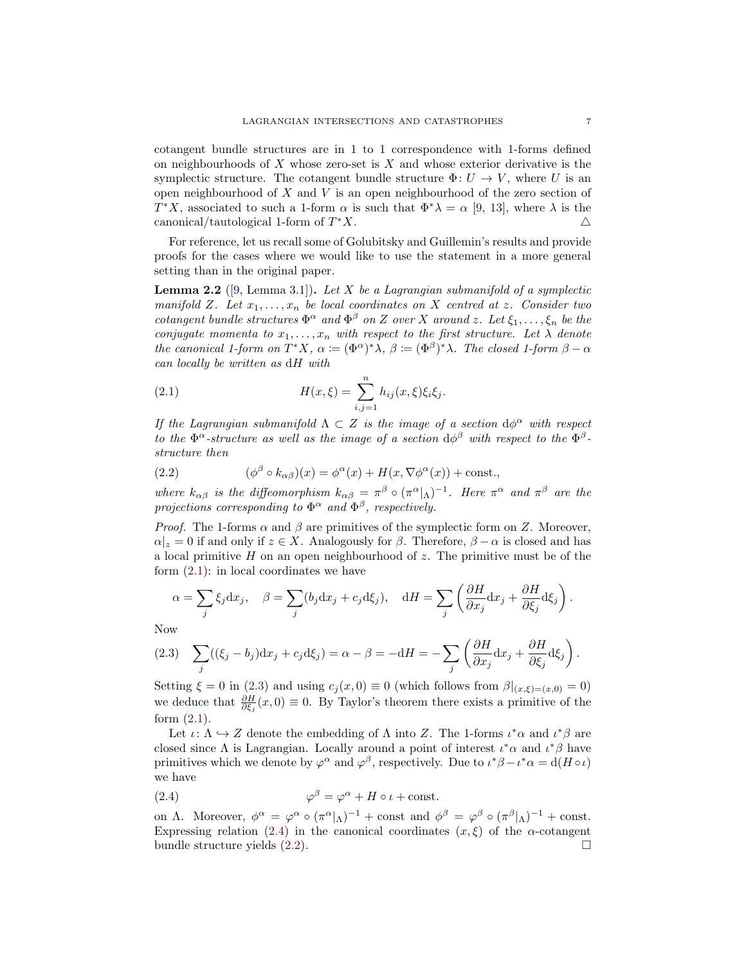cotangent bundle structures are in 1 to 1 correspondence with 1-forms defined on neighbourhoods of  $X$  whose zero-set is  $X$  and whose exterior derivative is the symplectic structure. The cotangent bundle structure  $\Phi: U \to V$ , where U is an open neighbourhood of  $X$  and  $V$  is an open neighbourhood of the zero section of T<sup>\*</sup>X, associated to such a 1-form  $\alpha$  is such that  $\Phi^*\lambda = \alpha$  [\[9,](#page-26-3) [13\]](#page-26-12), where  $\lambda$  is the canonical/tautological 1-form of  $T^*X$ .  $*X$ .

For reference, let us recall some of Golubitsky and Guillemin's results and provide proofs for the cases where we would like to use the statement in a more general setting than in the original paper.

<span id="page-6-4"></span>**Lemma 2.2** ([\[9,](#page-26-3) Lemma 3.1]). Let X be a Lagrangian submanifold of a symplectic manifold Z. Let  $x_1, \ldots, x_n$  be local coordinates on X centred at z. Consider two cotangent bundle structures  $\Phi^{\alpha}$  and  $\Phi^{\beta}$  on Z over X around z. Let  $\xi_1,\ldots,\xi_n$  be the conjugate momenta to  $x_1, \ldots, x_n$  with respect to the first structure. Let  $\lambda$  denote the canonical 1-form on  $T^*X$ ,  $\alpha := (\Phi^{\alpha})^*\lambda$ ,  $\beta := (\Phi^{\beta})^*\lambda$ . The closed 1-form  $\beta - \alpha$ can locally be written as dH with

<span id="page-6-0"></span>(2.1) 
$$
H(x,\xi) = \sum_{i,j=1}^{n} h_{ij}(x,\xi)\xi_i\xi_j.
$$

If the Lagrangian submanifold  $\Lambda \subset Z$  is the image of a section  $d\phi^{\alpha}$  with respect to the  $\Phi^{\alpha}$ -structure as well as the image of a section  $d\phi^{\beta}$  with respect to the  $\Phi^{\beta}$ structure then

<span id="page-6-3"></span>(2.2) 
$$
(\phi^{\beta} \circ k_{\alpha\beta})(x) = \phi^{\alpha}(x) + H(x, \nabla \phi^{\alpha}(x)) + \text{const.},
$$

where  $k_{\alpha\beta}$  is the diffeomorphism  $k_{\alpha\beta} = \pi^{\beta} \circ (\pi^{\alpha}|\Lambda)^{-1}$ . Here  $\pi^{\alpha}$  and  $\pi^{\beta}$  are the projections corresponding to  $\Phi^{\alpha}$  and  $\Phi^{\beta}$ , respectively.

*Proof.* The 1-forms  $\alpha$  and  $\beta$  are primitives of the symplectic form on Z. Moreover,  $\alpha|z=0$  if and only if  $z \in X$ . Analogously for  $\beta$ . Therefore,  $\beta - \alpha$  is closed and has a local primitive  $H$  on an open neighbourhood of  $z$ . The primitive must be of the form [\(2.1\)](#page-6-0): in local coordinates we have

$$
\alpha = \sum_{j} \xi_j \mathrm{d}x_j, \quad \beta = \sum_{j} (b_j \mathrm{d}x_j + c_j \mathrm{d}\xi_j), \quad \mathrm{d}H = \sum_{j} \left( \frac{\partial H}{\partial x_j} \mathrm{d}x_j + \frac{\partial H}{\partial \xi_j} \mathrm{d}\xi_j \right).
$$

Now

<span id="page-6-1"></span>(2.3) 
$$
\sum_{j} ((\xi_j - b_j)dx_j + c_jd\xi_j) = \alpha - \beta = -dH = -\sum_{j} \left(\frac{\partial H}{\partial x_j}dx_j + \frac{\partial H}{\partial \xi_j}d\xi_j\right).
$$

Setting  $\xi = 0$  in [\(2.3\)](#page-6-1) and using  $c_j(x, 0) \equiv 0$  (which follows from  $\beta|_{(x,\xi)=(x,0)} = 0$ ) we deduce that  $\frac{\partial H}{\partial \xi_j}(x,0) \equiv 0$ . By Taylor's theorem there exists a primitive of the form [\(2.1\)](#page-6-0).

Let  $\iota: \Lambda \hookrightarrow Z$  denote the embedding of  $\Lambda$  into Z. The 1-forms  $\iota^* \alpha$  and  $\iota^* \beta$  are closed since  $\Lambda$  is Lagrangian. Locally around a point of interest  $\iota^*\alpha$  and  $\iota^*\beta$  have primitives which we denote by  $\varphi^{\alpha}$  and  $\varphi^{\beta}$ , respectively. Due to  $\iota^*\beta - \iota^*\alpha = d(H \circ \iota)$ we have

<span id="page-6-2"></span>(2.4) 
$$
\varphi^{\beta} = \varphi^{\alpha} + H \circ \iota + \text{const.}
$$

on Λ. Moreover,  $\phi^{\alpha} = \varphi^{\alpha} \circ (\pi^{\alpha} |_{\Lambda})^{-1} + \text{const}$  and  $\phi^{\beta} = \varphi^{\beta} \circ (\pi^{\beta} |_{\Lambda})^{-1} + \text{const.}$ Expressing relation [\(2.4\)](#page-6-2) in the canonical coordinates  $(x, \xi)$  of the  $\alpha$ -cotangent bundle structure yields  $(2.2)$ .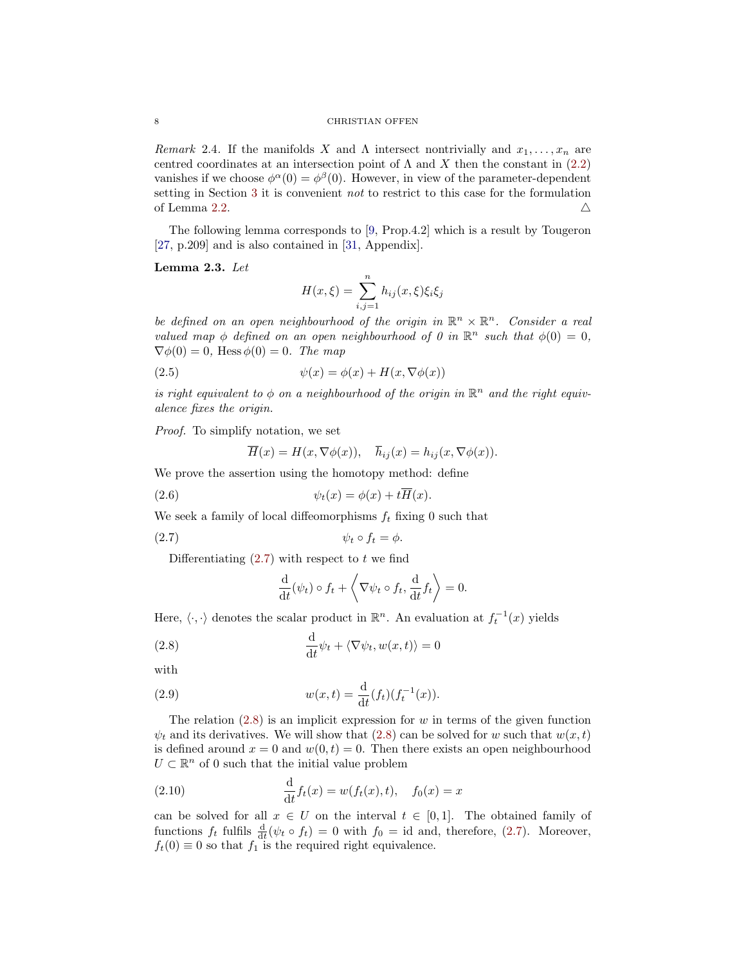Remark 2.4. If the manifolds X and  $\Lambda$  intersect nontrivially and  $x_1, \ldots, x_n$  are centred coordinates at an intersection point of  $\Lambda$  and X then the constant in [\(2.2\)](#page-6-3) vanishes if we choose  $\phi^{\alpha}(0) = \phi^{\beta}(0)$ . However, in view of the parameter-dependent setting in Section [3](#page-17-0) it is convenient not to restrict to this case for the formulation of Lemma [2.2.](#page-6-4)  $\triangle$ 

The following lemma corresponds to [\[9,](#page-26-3) Prop.4.2] which is a result by Tougeron [\[27,](#page-27-2) p.209] and is also contained in [\[31,](#page-27-12) Appendix].

## <span id="page-7-3"></span>Lemma 2.3. Let

$$
H(x,\xi) = \sum_{i,j=1}^{n} h_{ij}(x,\xi)\xi_i\xi_j
$$

be defined on an open neighbourhood of the origin in  $\mathbb{R}^n \times \mathbb{R}^n$ . Consider a real valued map  $\phi$  defined on an open neighbourhood of 0 in  $\mathbb{R}^n$  such that  $\phi(0) = 0$ ,  $\nabla \phi(0) = 0$ , Hess  $\phi(0) = 0$ . The map

(2.5) 
$$
\psi(x) = \phi(x) + H(x, \nabla \phi(x))
$$

is right equivalent to  $\phi$  on a neighbourhood of the origin in  $\mathbb{R}^n$  and the right equivalence fixes the origin.

Proof. To simplify notation, we set

<span id="page-7-2"></span>
$$
\overline{H}(x) = H(x, \nabla \phi(x)), \quad \overline{h}_{ij}(x) = h_{ij}(x, \nabla \phi(x)).
$$

We prove the assertion using the homotopy method: define

(2.6) 
$$
\psi_t(x) = \phi(x) + t\overline{H}(x).
$$

We seek a family of local diffeomorphisms  $f_t$  fixing 0 such that

$$
\psi_t \circ f_t = \phi.
$$

Differentiating  $(2.7)$  with respect to t we find

<span id="page-7-1"></span><span id="page-7-0"></span>
$$
\frac{\mathrm{d}}{\mathrm{d}t}(\psi_t) \circ f_t + \left\langle \nabla \psi_t \circ f_t, \frac{\mathrm{d}}{\mathrm{d}t} f_t \right\rangle = 0.
$$

Here,  $\langle \cdot, \cdot \rangle$  denotes the scalar product in  $\mathbb{R}^n$ . An evaluation at  $f_t^{-1}(x)$  yields

(2.8) 
$$
\frac{\mathrm{d}}{\mathrm{d}t}\psi_t + \langle \nabla \psi_t, w(x,t) \rangle = 0
$$

with

(2.9) 
$$
w(x,t) = \frac{d}{dt}(f_t)(f_t^{-1}(x)).
$$

The relation  $(2.8)$  is an implicit expression for w in terms of the given function  $\psi_t$  and its derivatives. We will show that [\(2.8\)](#page-7-1) can be solved for w such that  $w(x, t)$ is defined around  $x = 0$  and  $w(0, t) = 0$ . Then there exists an open neighbourhood  $U \subset \mathbb{R}^n$  of 0 such that the initial value problem

(2.10) 
$$
\frac{d}{dt} f_t(x) = w(f_t(x), t), \quad f_0(x) = x
$$

can be solved for all  $x \in U$  on the interval  $t \in [0,1]$ . The obtained family of functions  $f_t$  fulfils  $\frac{d}{dt}(\psi_t \circ f_t) = 0$  with  $f_0 = id$  and, therefore, [\(2.7\)](#page-7-0). Moreover,  $f_t(0) \equiv 0$  so that  $f_1$  is the required right equivalence.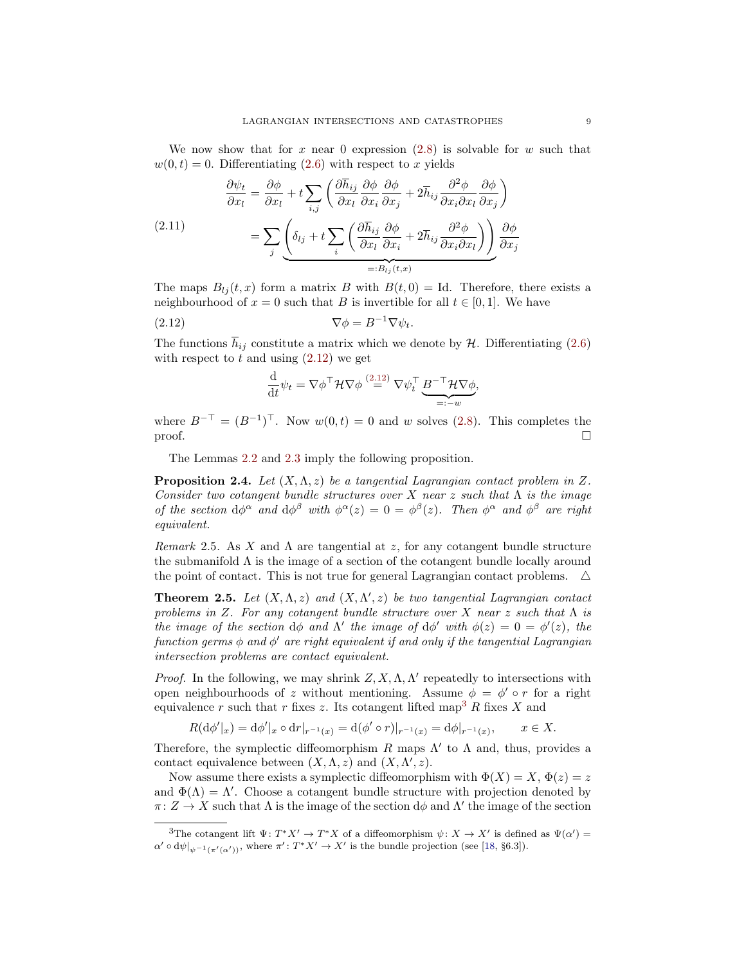We now show that for x near 0 expression  $(2.8)$  is solvable for w such that  $w(0, t) = 0$ . Differentiating [\(2.6\)](#page-7-2) with respect to x yields

<span id="page-8-5"></span>
$$
\frac{\partial \psi_t}{\partial x_l} = \frac{\partial \phi}{\partial x_l} + t \sum_{i,j} \left( \frac{\partial \overline{h}_{ij}}{\partial x_l} \frac{\partial \phi}{\partial x_i} \frac{\partial \phi}{\partial x_j} + 2 \overline{h}_{ij} \frac{\partial^2 \phi}{\partial x_i \partial x_l} \frac{\partial \phi}{\partial x_j} \right)
$$
\n
$$
= \sum_j \left( \delta_{lj} + t \sum_i \left( \frac{\partial \overline{h}_{ij}}{\partial x_l} \frac{\partial \phi}{\partial x_i} + 2 \overline{h}_{ij} \frac{\partial^2 \phi}{\partial x_i \partial x_l} \right) \right) \frac{\partial \phi}{\partial x_j}
$$
\n
$$
=: B_{lj}(t, x)
$$

The maps  $B_{lj}(t, x)$  form a matrix B with  $B(t, 0) =$  Id. Therefore, there exists a neighbourhood of  $x = 0$  such that B is invertible for all  $t \in [0, 1]$ . We have

(2.12) 
$$
\nabla \phi = B^{-1} \nabla \psi_t.
$$

The functions  $h_{ij}$  constitute a matrix which we denote by  $H$ . Differentiating [\(2.6\)](#page-7-2) with respect to  $t$  and using  $(2.12)$  we get

<span id="page-8-0"></span>
$$
\frac{\mathrm{d}}{\mathrm{d}t}\psi_t = \nabla \phi^\top \mathcal{H} \nabla \phi \stackrel{(2.12)}{=} \nabla \psi_t^\top \underbrace{B^{-\top} \mathcal{H} \nabla \phi}_{=: -w},
$$

where  $B^{-\top} = (B^{-1})^{\top}$ . Now  $w(0,t) = 0$  and w solves [\(2.8\)](#page-7-1). This completes the  $\Box$ 

The Lemmas [2.2](#page-6-4) and [2.3](#page-7-3) imply the following proposition.

<span id="page-8-3"></span>**Proposition 2.4.** Let  $(X, \Lambda, z)$  be a tangential Lagrangian contact problem in Z. Consider two cotangent bundle structures over X near z such that  $\Lambda$  is the image of the section  $d\phi^{\alpha}$  and  $d\phi^{\beta}$  with  $\phi^{\alpha}(z) = 0 = \phi^{\beta}(z)$ . Then  $\phi^{\alpha}$  and  $\phi^{\beta}$  are right equivalent.

<span id="page-8-4"></span>Remark 2.5. As X and  $\Lambda$  are tangential at z, for any cotangent bundle structure the submanifold  $\Lambda$  is the image of a section of the cotangent bundle locally around the point of contact. This is not true for general Lagrangian contact problems.  $\Delta$ 

<span id="page-8-2"></span>**Theorem 2.5.** Let  $(X, \Lambda, z)$  and  $(X, \Lambda', z)$  be two tangential Lagrangian contact problems in Z. For any cotangent bundle structure over X near z such that  $\Lambda$  is the image of the section  $d\phi$  and  $\Lambda'$  the image of  $d\phi'$  with  $\phi(z) = 0 = \phi'(z)$ , the function germs  $\phi$  and  $\phi'$  are right equivalent if and only if the tangential Lagrangian intersection problems are contact equivalent.

*Proof.* In the following, we may shrink  $Z, X, \Lambda, \Lambda'$  repeatedly to intersections with open neighbourhoods of z without mentioning. Assume  $\phi = \phi' \circ r$  for a right equivalence r such that r fixes z. Its cotangent lifted map<sup>[3](#page-8-1)</sup> R fixes X and

$$
R(\mathrm{d}\phi'|_x) = \mathrm{d}\phi'|_x \circ \mathrm{d}r|_{r^{-1}(x)} = \mathrm{d}(\phi' \circ r)|_{r^{-1}(x)} = \mathrm{d}\phi|_{r^{-1}(x)}, \qquad x \in X.
$$

Therefore, the symplectic diffeomorphism  $R$  maps  $\Lambda'$  to  $\Lambda$  and, thus, provides a contact equivalence between  $(X, \Lambda, z)$  and  $(X, \Lambda', z)$ .

Now assume there exists a symplectic diffeomorphism with  $\Phi(X) = X$ ,  $\Phi(z) = z$ and  $\Phi(\Lambda) = \Lambda'$ . Choose a cotangent bundle structure with projection denoted by  $\pi: Z \to X$  such that  $\Lambda$  is the image of the section  $d\phi$  and  $\Lambda'$  the image of the section

<span id="page-8-1"></span><sup>&</sup>lt;sup>3</sup>The cotangent lift  $\Psi: T^*X' \to T^*X$  of a diffeomorphism  $\psi: X \to X'$  is defined as  $\Psi(\alpha') =$  $\alpha' \circ d\psi|_{\psi^{-1}(\pi'(\alpha'))}$ , where  $\pi' : T^*X' \to X'$  is the bundle projection (see [\[18,](#page-27-13) §6.3]).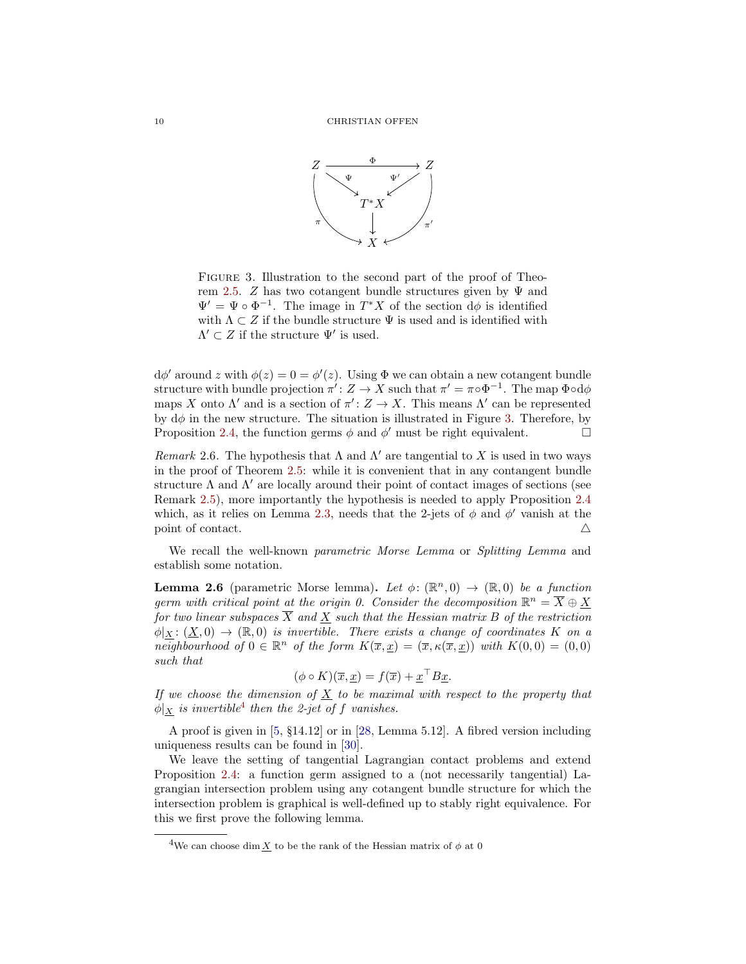

<span id="page-9-0"></span>Figure 3. Illustration to the second part of the proof of Theo-rem [2.5.](#page-8-2) Z has two cotangent bundle structures given by  $\Psi$  and  $\Psi' = \Psi \circ \Phi^{-1}$ . The image in  $T^*X$  of the section  $d\phi$  is identified with  $\Lambda \subset Z$  if the bundle structure  $\Psi$  is used and is identified with  $\Lambda' \subset Z$  if the structure  $\Psi'$  is used.

 $d\phi'$  around z with  $\phi(z) = 0 = \phi'(z)$ . Using  $\Phi$  we can obtain a new cotangent bundle structure with bundle projection  $\pi' : Z \to X$  such that  $\pi' = \pi \circ \Phi^{-1}$ . The map  $\Phi \circ d\phi$ maps X onto  $\Lambda'$  and is a section of  $\pi' : Z \to X$ . This means  $\Lambda'$  can be represented by  $d\phi$  in the new structure. The situation is illustrated in Figure [3.](#page-9-0) Therefore, by Proposition [2.4,](#page-8-3) the function germs  $\phi$  and  $\phi'$  must be right equivalent.

Remark 2.6. The hypothesis that  $\Lambda$  and  $\Lambda'$  are tangential to X is used in two ways in the proof of Theorem [2.5:](#page-8-2) while it is convenient that in any contangent bundle structure  $\Lambda$  and  $\Lambda'$  are locally around their point of contact images of sections (see Remark [2.5\)](#page-8-4), more importantly the hypothesis is needed to apply Proposition [2.4](#page-8-3) which, as it relies on Lemma [2.3,](#page-7-3) needs that the 2-jets of  $\phi$  and  $\phi'$  vanish at the point of contact.  $\triangle$ 

We recall the well-known *parametric Morse Lemma* or *Splitting Lemma* and establish some notation.

<span id="page-9-2"></span>**Lemma 2.6** (parametric Morse lemma). Let  $\phi: (\mathbb{R}^n, 0) \to (\mathbb{R}, 0)$  be a function germ with critical point at the origin 0. Consider the decomposition  $\mathbb{R}^n = \overline{X} \oplus \underline{X}$ for two linear subspaces  $\overline{X}$  and X such that the Hessian matrix B of the restriction  $\phi|_X : (X, 0) \to (\mathbb{R}, 0)$  is invertible. There exists a change of coordinates K on a neighbourhood of  $0 \in \mathbb{R}^n$  of the form  $K(\overline{x}, \underline{x}) = (\overline{x}, \kappa(\overline{x}, \underline{x}))$  with  $K(0, 0) = (0, 0)$ such that

$$
(\phi \circ K)(\overline{x}, \underline{x}) = f(\overline{x}) + \underline{x}^\top B \underline{x}.
$$

If we choose the dimension of  $\underline{X}$  to be maximal with respect to the property that  $\phi|_{\underline{X}}$  is invertible<sup>[4](#page-9-1)</sup> then the 2-jet of f vanishes.

A proof is given in [\[5,](#page-26-4) §14.12] or in [\[28,](#page-27-1) Lemma 5.12]. A fibred version including uniqueness results can be found in [\[30\]](#page-27-11).

We leave the setting of tangential Lagrangian contact problems and extend Proposition [2.4:](#page-8-3) a function germ assigned to a (not necessarily tangential) Lagrangian intersection problem using any cotangent bundle structure for which the intersection problem is graphical is well-defined up to stably right equivalence. For this we first prove the following lemma.

<span id="page-9-3"></span><span id="page-9-1"></span><sup>&</sup>lt;sup>4</sup>We can choose dim X to be the rank of the Hessian matrix of  $\phi$  at 0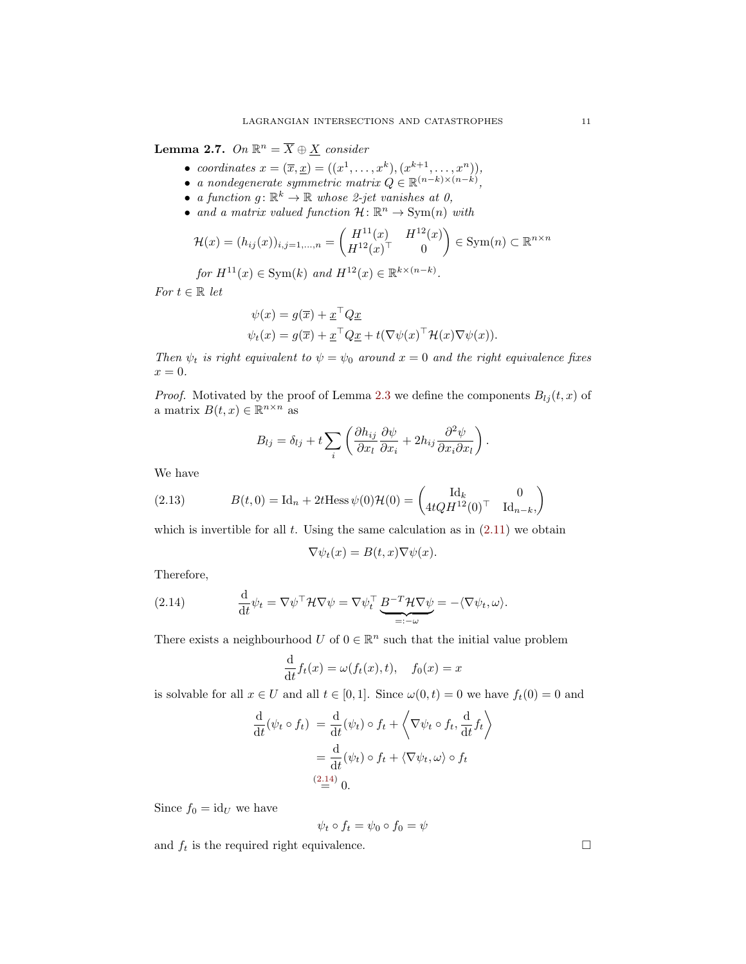**Lemma 2.7.** On  $\mathbb{R}^n = \overline{X} \oplus \underline{X}$  consider

- coordinates  $x = (\overline{x}, \underline{x}) = ((x^1, \ldots, x^k), (x^{k+1}, \ldots, x^n)),$
- a nondegenerate symmetric matrix  $Q \in \mathbb{R}^{(n-k)\times (n-k)}$ ,
- a function  $g: \mathbb{R}^k \to \mathbb{R}$  whose 2-jet vanishes at 0,
- and a matrix valued function  $\mathcal{H}: \mathbb{R}^n \to \text{Sym}(n)$  with

$$
\mathcal{H}(x) = (h_{ij}(x))_{i,j=1,...,n} = \begin{pmatrix} H^{11}(x) & H^{12}(x) \\ H^{12}(x)^\top & 0 \end{pmatrix} \in \text{Sym}(n) \subset \mathbb{R}^{n \times n}
$$

for  $H^{11}(x) \in \text{Sym}(k)$  and  $H^{12}(x) \in \mathbb{R}^{k \times (n-k)}$ .

For  $t \in \mathbb{R}$  let

$$
\psi(x) = g(\overline{x}) + \underline{x}^{\top} Q \underline{x}
$$
  

$$
\psi_t(x) = g(\overline{x}) + \underline{x}^{\top} Q \underline{x} + t(\nabla \psi(x)^{\top} \mathcal{H}(x) \nabla \psi(x)).
$$

Then  $\psi_t$  is right equivalent to  $\psi = \psi_0$  around  $x = 0$  and the right equivalence fixes  $x=0.$ 

*Proof.* Motivated by the proof of Lemma [2.3](#page-7-3) we define the components  $B_{l_i}(t, x)$  of a matrix  $B(t, x) \in \mathbb{R}^{n \times n}$  as

<span id="page-10-2"></span>
$$
B_{lj} = \delta_{lj} + t \sum_i \left( \frac{\partial h_{ij}}{\partial x_l} \frac{\partial \psi}{\partial x_i} + 2h_{ij} \frac{\partial^2 \psi}{\partial x_i \partial x_l} \right).
$$

We have

(2.13) 
$$
B(t,0) = \text{Id}_n + 2t \text{Hess}\,\psi(0)\mathcal{H}(0) = \begin{pmatrix} \text{Id}_k & 0\\ 4tQH^{12}(0)^\top & \text{Id}_{n-k} \end{pmatrix}
$$

which is invertible for all t. Using the same calculation as in  $(2.11)$  we obtain

$$
\nabla \psi_t(x) = B(t, x) \nabla \psi(x).
$$

Therefore,

(2.14) 
$$
\frac{\mathrm{d}}{\mathrm{d}t}\psi_t = \nabla \psi^\top \mathcal{H} \nabla \psi = \nabla \psi_t^\top \underbrace{B^{-T} \mathcal{H} \nabla \psi}_{=: -\omega} = -\langle \nabla \psi_t, \omega \rangle.
$$

There exists a neighbourhood U of  $0 \in \mathbb{R}^n$  such that the initial value problem

<span id="page-10-0"></span>
$$
\frac{\mathrm{d}}{\mathrm{d}t}f_t(x) = \omega(f_t(x), t), \quad f_0(x) = x
$$

is solvable for all  $x \in U$  and all  $t \in [0, 1]$ . Since  $\omega(0, t) = 0$  we have  $f_t(0) = 0$  and

$$
\frac{\mathrm{d}}{\mathrm{d}t}(\psi_t \circ f_t) = \frac{\mathrm{d}}{\mathrm{d}t}(\psi_t) \circ f_t + \left\langle \nabla \psi_t \circ f_t, \frac{\mathrm{d}}{\mathrm{d}t} f_t \right\rangle
$$
\n
$$
= \frac{\mathrm{d}}{\mathrm{d}t}(\psi_t) \circ f_t + \left\langle \nabla \psi_t, \omega \right\rangle \circ f_t
$$
\n
$$
\stackrel{(2.14)}{=} 0.
$$

Since  $f_0 = id_U$  we have

$$
\psi_t \circ f_t = \psi_0 \circ f_0 = \psi
$$

<span id="page-10-1"></span>and  $f_t$  is the required right equivalence.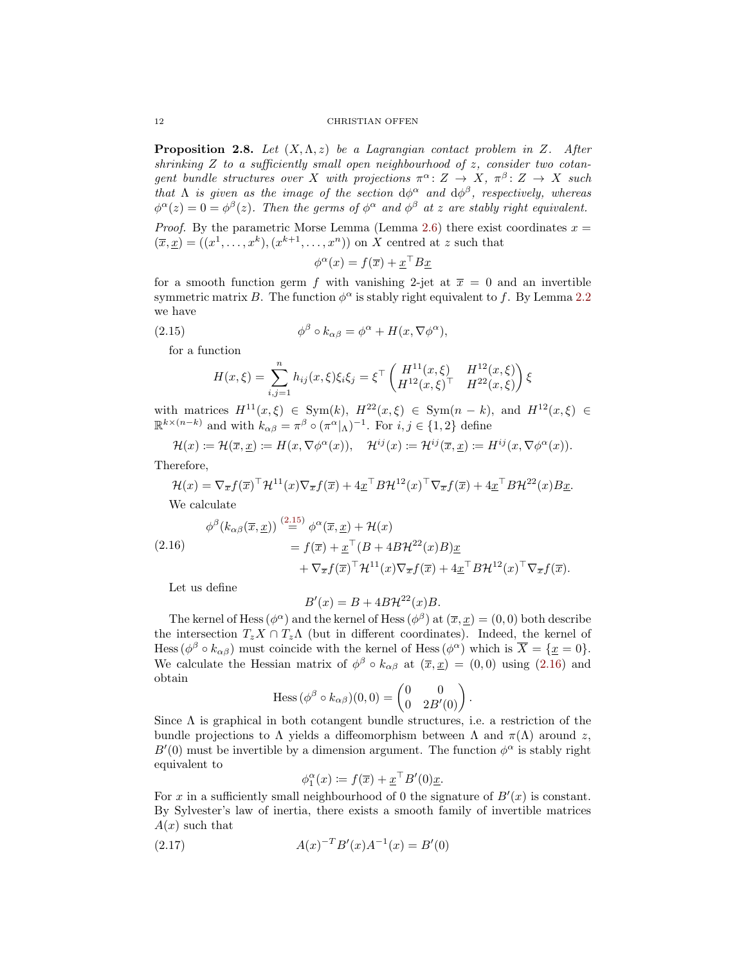#### 12 CHRISTIAN OFFEN

**Proposition 2.8.** Let  $(X, \Lambda, z)$  be a Lagrangian contact problem in Z. After shrinking  $Z$  to a sufficiently small open neighbourhood of  $z$ , consider two cotangent bundle structures over X with projections  $\pi^{\alpha} \colon Z \to X$ ,  $\pi^{\beta} \colon Z \to X$  such that  $\Lambda$  is given as the image of the section  $d\phi^{\alpha}$  and  $d\phi^{\beta}$ , respectively, whereas  $\phi^{\alpha}(z) = 0 = \phi^{\beta}(z)$ . Then the germs of  $\phi^{\alpha}$  and  $\phi^{\beta}$  at z are stably right equivalent.

*Proof.* By the parametric Morse Lemma (Lemma [2.6\)](#page-9-2) there exist coordinates  $x =$  $(\overline{x}, \underline{x}) = ((x^1, \ldots, x^k), (x^{k+1}, \ldots, x^n))$  on X centred at z such that

<span id="page-11-0"></span>
$$
\phi^{\alpha}(x) = f(\overline{x}) + \underline{x}^{\top} B \underline{x}
$$

for a smooth function germ f with vanishing 2-jet at  $\bar{x} = 0$  and an invertible symmetric matrix B. The function  $\phi^{\alpha}$  is stably right equivalent to f. By Lemma [2.2](#page-6-4) we have

(2.15) 
$$
\phi^{\beta} \circ k_{\alpha\beta} = \phi^{\alpha} + H(x, \nabla \phi^{\alpha}),
$$

for a function

$$
H(x,\xi) = \sum_{i,j=1}^{n} h_{ij}(x,\xi)\xi_i\xi_j = \xi^{\top} \begin{pmatrix} H^{11}(x,\xi) & H^{12}(x,\xi) \\ H^{12}(x,\xi)^{\top} & H^{22}(x,\xi) \end{pmatrix} \xi
$$

with matrices  $H^{11}(x,\xi) \in \text{Sym}(k)$ ,  $H^{22}(x,\xi) \in \text{Sym}(n-k)$ , and  $H^{12}(x,\xi) \in$  $\mathbb{R}^{k \times (n-k)}$  and with  $k_{\alpha\beta} = \pi^{\beta} \circ (\pi^{\alpha}|_{\Lambda})^{-1}$ . For  $i, j \in \{1, 2\}$  define

$$
\mathcal{H}(x) := \mathcal{H}(\overline{x}, \underline{x}) := H(x, \nabla \phi^{\alpha}(x)), \quad \mathcal{H}^{ij}(x) := \mathcal{H}^{ij}(\overline{x}, \underline{x}) := H^{ij}(x, \nabla \phi^{\alpha}(x)).
$$

Therefore,

$$
\mathcal{H}(x) = \nabla_{\overline{x}} f(\overline{x})^{\top} \mathcal{H}^{11}(x) \nabla_{\overline{x}} f(\overline{x}) + 4 \underline{x}^{\top} B \mathcal{H}^{12}(x)^{\top} \nabla_{\overline{x}} f(\overline{x}) + 4 \underline{x}^{\top} B \mathcal{H}^{22}(x) B \underline{x}.
$$

We calculate

<span id="page-11-1"></span>
$$
\phi^{\beta}(k_{\alpha\beta}(\overline{x},\underline{x})) \stackrel{(2.15)}{=} \phi^{\alpha}(\overline{x},\underline{x}) + \mathcal{H}(x)
$$
  
\n
$$
= f(\overline{x}) + \underline{x}^{\top}(B + 4B\mathcal{H}^{22}(x)B)\underline{x} + \nabla_{\overline{x}}f(\overline{x})^{\top}\mathcal{H}^{11}(x)\nabla_{\overline{x}}f(\overline{x}) + 4\underline{x}^{\top}B\mathcal{H}^{12}(x)^{\top}\nabla_{\overline{x}}f(\overline{x}).
$$

Let us define

$$
B'(x) = B + 4B\mathcal{H}^{22}(x)B.
$$

The kernel of Hess ( $\phi^{\alpha}$ ) and the kernel of Hess ( $\phi^{\beta}$ ) at ( $\overline{x}, \underline{x}$ ) = (0,0) both describe the intersection  $T_zX \cap T_z\Lambda$  (but in different coordinates). Indeed, the kernel of Hess  $(\phi^{\beta} \circ k_{\alpha\beta})$  must coincide with the kernel of Hess  $(\phi^{\alpha})$  which is  $\overline{X} = {\underline{x} = 0}.$ We calculate the Hessian matrix of  $\phi^{\beta} \circ k_{\alpha\beta}$  at  $(\bar{x}, \bar{x}) = (0, 0)$  using  $(2.16)$  and obtain

Hess 
$$
(\phi^{\beta} \circ k_{\alpha\beta})(0,0) = \begin{pmatrix} 0 & 0 \\ 0 & 2B'(0) \end{pmatrix}
$$
.

Since  $\Lambda$  is graphical in both cotangent bundle structures, i.e. a restriction of the bundle projections to  $\Lambda$  yields a diffeomorphism between  $\Lambda$  and  $\pi(\Lambda)$  around z,  $B'(0)$  must be invertible by a dimension argument. The function  $\phi^{\alpha}$  is stably right equivalent to

$$
\phi_1^{\alpha}(x) \coloneqq f(\overline{x}) + \underline{x}^{\top} B'(0) \underline{x}.
$$

For x in a sufficiently small neighbourhood of 0 the signature of  $B'(x)$  is constant. By Sylvester's law of inertia, there exists a smooth family of invertible matrices  $A(x)$  such that

(2.17) 
$$
A(x)^{-T}B'(x)A^{-1}(x) = B'(0)
$$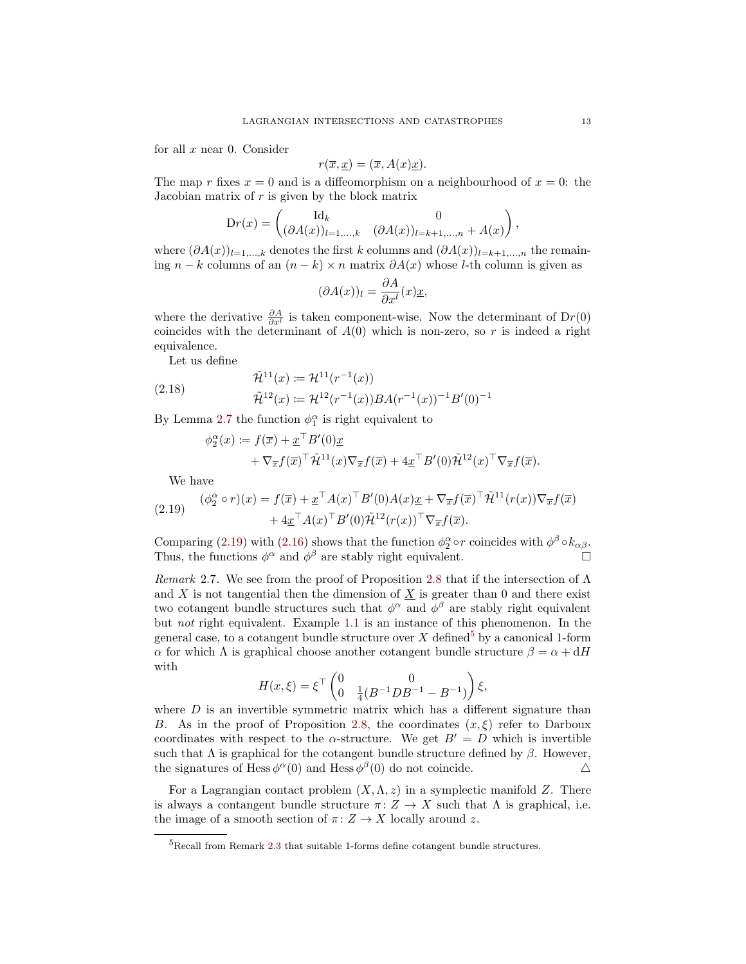for all  $x$  near 0. Consider

$$
r(\overline{x}, \underline{x}) = (\overline{x}, A(x)\underline{x}).
$$

The map r fixes  $x = 0$  and is a diffeomorphism on a neighbourhood of  $x = 0$ : the Jacobian matrix of  $r$  is given by the block matrix

$$
\mathrm{D}r(x) = \begin{pmatrix} \mathrm{Id}_k & 0 \\ (\partial A(x))_{l=1,\ldots,k} & (\partial A(x))_{l=k+1,\ldots,n} + A(x) \end{pmatrix},
$$

where  $(\partial A(x))_{l=1,\ldots,k}$  denotes the first k columns and  $(\partial A(x))_{l=k+1,\ldots,n}$  the remaining  $n - k$  columns of an  $(n - k) \times n$  matrix  $\partial A(x)$  whose l-th column is given as

$$
(\partial A(x))_l = \frac{\partial A}{\partial x^l}(x)\underline{x},
$$

where the derivative  $\frac{\partial A}{\partial x^l}$  is taken component-wise. Now the determinant of Dr(0) coincides with the determinant of  $A(0)$  which is non-zero, so r is indeed a right equivalence.

Let us define

(2.18) 
$$
\tilde{\mathcal{H}}^{11}(x) \coloneqq \mathcal{H}^{11}(r^{-1}(x)) \n\tilde{\mathcal{H}}^{12}(x) \coloneqq \mathcal{H}^{12}(r^{-1}(x)) BA(r^{-1}(x))^{-1} B'(0)^{-1}
$$

By Lemma [2.7](#page-9-3) the function  $\phi_1^{\alpha}$  is right equivalent to

$$
\phi_2^{\alpha}(x) \coloneqq f(\overline{x}) + \underline{x}^{\top} B'(0) \underline{x} \n+ \nabla_{\overline{x}} f(\overline{x})^{\top} \widetilde{\mathcal{H}}^{11}(x) \nabla_{\overline{x}} f(\overline{x}) + 4 \underline{x}^{\top} B'(0) \widetilde{\mathcal{H}}^{12}(x)^{\top} \nabla_{\overline{x}} f(\overline{x}).
$$

We have

<span id="page-12-0"></span>(2.19) 
$$
(\phi_2^{\alpha} \circ r)(x) = f(\overline{x}) + \underline{x}^{\top} A(x)^{\top} B'(0) A(x) \underline{x} + \nabla_{\overline{x}} f(\overline{x})^{\top} \widetilde{\mathcal{H}}^{11}(r(x)) \nabla_{\overline{x}} f(\overline{x}) + 4 \underline{x}^{\top} A(x)^{\top} B'(0) \widetilde{\mathcal{H}}^{12}(r(x))^{\top} \nabla_{\overline{x}} f(\overline{x}).
$$

Comparing [\(2.19\)](#page-12-0) with [\(2.16\)](#page-11-1) shows that the function  $\phi_2^{\alpha} \circ r$  coincides with  $\phi^{\beta} \circ k_{\alpha\beta}$ . Thus, the functions  $\phi^{\alpha}$  and  $\phi^{\beta}$  are stably right equivalent.

Remark 2.7. We see from the proof of Proposition [2.8](#page-10-1) that if the intersection of  $\Lambda$ and X is not tangential then the dimension of  $\underline{X}$  is greater than 0 and there exist two cotangent bundle structures such that  $\phi^{\alpha}$  and  $\phi^{\beta}$  are stably right equivalent but not right equivalent. Example [1.1](#page-2-0) is an instance of this phenomenon. In the general case, to a cotangent bundle structure over  $X$  defined<sup>[5](#page-12-1)</sup> by a canonical 1-form α for which Λ is graphical choose another cotangent bundle structure  $β = α + dH$ with

$$
H(x,\xi) = \xi^{\top} \begin{pmatrix} 0 & 0 \\ 0 & \frac{1}{4}(B^{-1}DB^{-1} - B^{-1}) \end{pmatrix} \xi,
$$

where  $D$  is an invertible symmetric matrix which has a different signature than B. As in the proof of Proposition [2.8,](#page-10-1) the coordinates  $(x, \xi)$  refer to Darboux coordinates with respect to the  $\alpha$ -structure. We get  $B' = D$  which is invertible such that  $\Lambda$  is graphical for the cotangent bundle structure defined by  $\beta$ . However, the signatures of Hess  $\phi^{\alpha}(0)$  and Hess  $\phi^{\beta}(0)$  do not coincide.  $\Delta$ 

For a Lagrangian contact problem  $(X, \Lambda, z)$  in a symplectic manifold Z. There is always a contangent bundle structure  $\pi: Z \to X$  such that  $\Lambda$  is graphical, i.e. the image of a smooth section of  $\pi: Z \to X$  locally around z.

<span id="page-12-1"></span> ${}^{5}$ Recall from Remark [2.3](#page-5-1) that suitable 1-forms define cotangent bundle structures.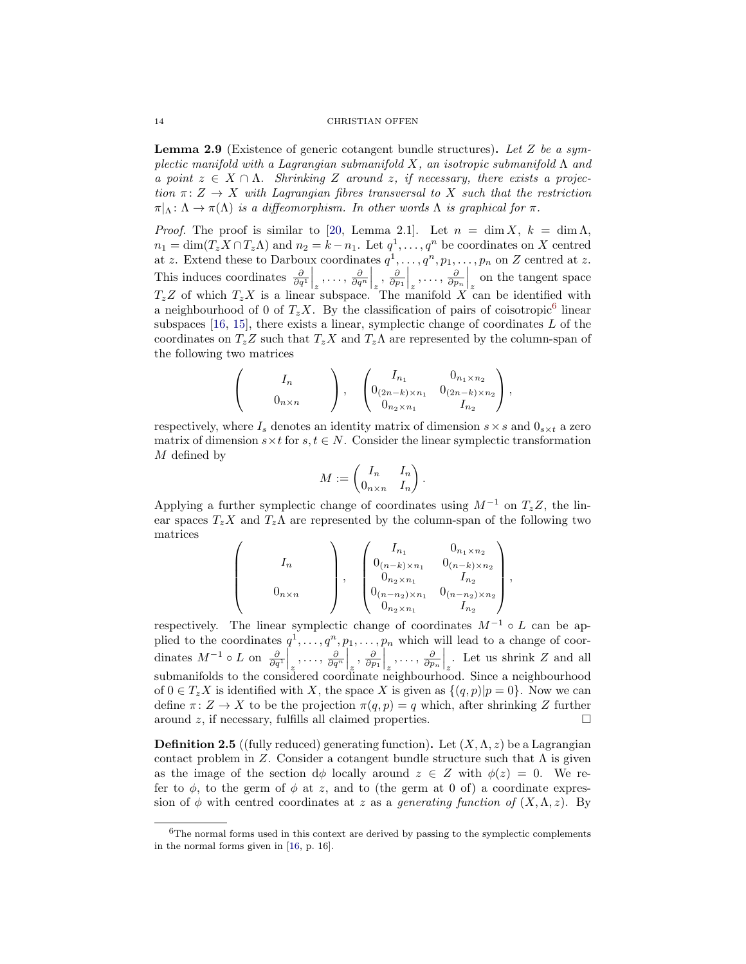**Lemma 2.9** (Existence of generic cotangent bundle structures). Let Z be a symplectic manifold with a Lagrangian submanifold X, an isotropic submanifold  $\Lambda$  and a point  $z \in X \cap \Lambda$ . Shrinking Z around z, if necessary, there exists a projection  $\pi: Z \to X$  with Lagrangian fibres transversal to X such that the restriction  $\pi|_{\Lambda} : \Lambda \to \pi(\Lambda)$  is a diffeomorphism. In other words  $\Lambda$  is graphical for  $\pi$ .

*Proof.* The proof is similar to [\[20,](#page-27-4) Lemma 2.1]. Let  $n = \dim X$ ,  $k = \dim \Lambda$ ,  $n_1 = \dim(T_z X \cap T_z \Lambda)$  and  $n_2 = k - n_1$ . Let  $q^1, \ldots, q^n$  be coordinates on X centred at z. Extend these to Darboux coordinates  $q^1, \ldots, q^n, p_1, \ldots, p_n$  on Z centred at z. This induces coordinates  $\frac{\partial}{\partial q^1}\Big|_z, \ldots, \frac{\partial}{\partial q^n}\Big|_z, \frac{\partial}{\partial p_1}\Big|_z, \ldots, \frac{\partial}{\partial p_n}\Big|_z$  on the tangent space  $T_zZ$  of which  $T_zX$  is a linear subspace. The manifold X can be identified with a neighbourhood of 0 of  $T_z X$ . By the classification of pairs of coisotropic<sup>[6](#page-13-0)</sup> linear subspaces  $[16, 15]$  $[16, 15]$  $[16, 15]$ , there exists a linear, symplectic change of coordinates L of the coordinates on  $T_z Z$  such that  $T_z X$  and  $T_z \Lambda$  are represented by the column-span of the following two matrices

$$
\begin{pmatrix}\nI_n \\
0_{n \times n}\n\end{pmatrix}, \quad\n\begin{pmatrix}\nI_{n_1} & 0_{n_1 \times n_2} \\
0_{(2n-k) \times n_1} & 0_{(2n-k) \times n_2} \\
0_{n_2 \times n_1} & I_{n_2}\n\end{pmatrix},
$$

respectively, where  $I_s$  denotes an identity matrix of dimension  $s \times s$  and  $0_{s \times t}$  a zero matrix of dimension  $s \times t$  for  $s, t \in N$ . Consider the linear symplectic transformation M defined by

$$
M := \begin{pmatrix} I_n & I_n \\ 0_{n \times n} & I_n \end{pmatrix}.
$$

Applying a further symplectic change of coordinates using  $M^{-1}$  on  $T_zZ$ , the linear spaces  $T_z X$  and  $T_z \Lambda$  are represented by the column-span of the following two matrices

 $\sqrt{ }$ 

 $\overline{\phantom{a}}$ 

$$
0_{n \times n} \qquad \left.\begin{array}{c}\nI_{n} \\
0_{(n-k) \times n_1} \\
0_{n_2 \times n_1} \\
0_{n_2 \times n_1} \\
0_{n_2 \times n_1} \\
0_{n_2 \times n_1}\n\end{array}\right., \qquad\n\begin{array}{c}\nI_{n_1} \\
0_{(n-k) \times n_2} \\
0_{(n-k) \times n_2} \\
0_{n_1 \times n_2} \\
0_{n_2 \times n_1}\n\end{array}\right.
$$

,

respectively. The linear symplectic change of coordinates  $M^{-1} \circ L$  can be applied to the coordinates  $q^1, \ldots, q^n, p_1, \ldots, p_n$  which will lead to a change of coordinates  $M^{-1} \circ L$  on  $\frac{\partial}{\partial q^1}\Big|_{z_1}, \ldots, \frac{\partial}{\partial q^n}\Big|_{z_2}, \frac{\partial}{\partial p_1}\Big|_{z_1}, \ldots, \frac{\partial}{\partial p_n}\Big|_{z_n}$ . Let us shrink Z and all submanifolds to the considered coordinate neighbourhood. Since a neighbourhood of  $0 \in T_z X$  is identified with X, the space X is given as  $\{(q, p)|p = 0\}$ . Now we can define  $\pi: Z \to X$  to be the projection  $\pi(q, p) = q$  which, after shrinking Z further around z, if necessary, fulfills all claimed properties.  $\Box$ 

**Definition 2.5** ((fully reduced) generating function). Let  $(X, \Lambda, z)$  be a Lagrangian contact problem in Z. Consider a cotangent bundle structure such that  $\Lambda$  is given as the image of the section  $d\phi$  locally around  $z \in Z$  with  $\phi(z) = 0$ . We refer to  $\phi$ , to the germ of  $\phi$  at z, and to (the germ at 0 of) a coordinate expression of  $\phi$  with centred coordinates at z as a generating function of  $(X, \Lambda, z)$ . By

<span id="page-13-0"></span><sup>6</sup>The normal forms used in this context are derived by passing to the symplectic complements in the normal forms given in [\[16,](#page-26-13) p. 16].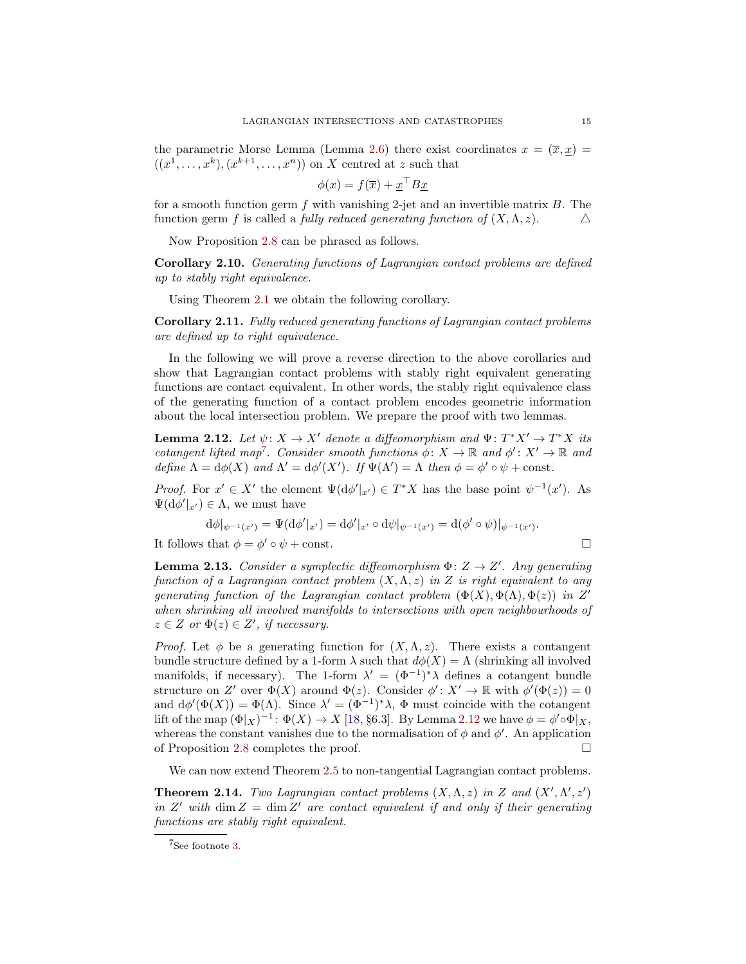the parametric Morse Lemma (Lemma [2.6\)](#page-9-2) there exist coordinates  $x = (\overline{x}, \underline{x}) =$  $((x^1, \ldots, x^k), (x^{k+1}, \ldots, x^n))$  on X centred at z such that

$$
\phi(x) = f(\overline{x}) + \underline{x}^\top B \underline{x}
$$

for a smooth function germ f with vanishing 2-jet and an invertible matrix  $B$ . The function germ f is called a fully reduced generating function of  $(X, \Lambda, z)$ .  $\Delta$ 

Now Proposition [2.8](#page-10-1) can be phrased as follows.

<span id="page-14-3"></span>Corollary 2.10. Generating functions of Lagrangian contact problems are defined up to stably right equivalence.

Using Theorem [2.1](#page-5-2) we obtain the following corollary.

Corollary 2.11. Fully reduced generating functions of Lagrangian contact problems are defined up to right equivalence.

In the following we will prove a reverse direction to the above corollaries and show that Lagrangian contact problems with stably right equivalent generating functions are contact equivalent. In other words, the stably right equivalence class of the generating function of a contact problem encodes geometric information about the local intersection problem. We prepare the proof with two lemmas.

<span id="page-14-1"></span>**Lemma 2.12.** Let  $\psi: X \to X'$  denote a diffeomorphism and  $\Psi: T^*X' \to T^*X$  its cotangent lifted map<sup>[7](#page-14-0)</sup>. Consider smooth functions  $\phi: X \to \mathbb{R}$  and  $\phi': X' \to \mathbb{R}$  and define  $\Lambda = d\phi(X)$  and  $\Lambda' = d\phi'(X')$ . If  $\Psi(\Lambda') = \Lambda$  then  $\phi = \phi' \circ \psi + \text{const.}$ 

*Proof.* For  $x' \in X'$  the element  $\Psi(\mathrm{d}\phi'|_{x'}) \in T^*X$  has the base point  $\psi^{-1}(x')$ . As  $\Psi(\mathrm{d}\phi'|_{x'}) \in \Lambda$ , we must have

$$
d\phi|_{\psi^{-1}(x')} = \Psi(d\phi'|_{x'}) = d\phi'|_{x'} \circ d\psi|_{\psi^{-1}(x')} = d(\phi' \circ \psi)|_{\psi^{-1}(x')}.
$$
  
It follows that  $\phi = \phi' \circ \psi + \text{const.}$ 

<span id="page-14-2"></span>**Lemma 2.13.** Consider a symplectic diffeomorphism  $\Phi: Z \to Z'$ . Any generating function of a Lagrangian contact problem  $(X, \Lambda, z)$  in Z is right equivalent to any generating function of the Lagrangian contact problem  $(\Phi(X), \Phi(\Lambda), \Phi(z))$  in Z' when shrinking all involved manifolds to intersections with open neighbourhoods of  $z \in Z$  or  $\Phi(z) \in Z'$ , if necessary.

*Proof.* Let  $\phi$  be a generating function for  $(X, \Lambda, z)$ . There exists a contangent bundle structure defined by a 1-form  $\lambda$  such that  $d\phi(X) = \Lambda$  (shrinking all involved manifolds, if necessary). The 1-form  $\lambda' = (\Phi^{-1})^* \lambda$  defines a cotangent bundle structure on Z' over  $\Phi(X)$  around  $\Phi(z)$ . Consider  $\phi' : X' \to \mathbb{R}$  with  $\phi'(\Phi(z)) = 0$ and  $d\phi'(\Phi(X)) = \Phi(\Lambda)$ . Since  $\lambda' = (\Phi^{-1})^*\lambda$ ,  $\Phi$  must coincide with the cotangent lift of the map  $(\Phi|_X)^{-1}$ :  $\Phi(X) \to X$  [\[18,](#page-27-13) §6.3]. By Lemma [2.12](#page-14-1) we have  $\phi = \phi' \circ \Phi|_X$ , whereas the constant vanishes due to the normalisation of  $\phi$  and  $\phi'$ . An application of Proposition [2.8](#page-10-1) completes the proof.

We can now extend Theorem [2.5](#page-8-2) to non-tangential Lagrangian contact problems.

<span id="page-14-4"></span>**Theorem 2.14.** Two Lagrangian contact problems  $(X, \Lambda, z)$  in Z and  $(X', \Lambda', z')$ in Z' with dim  $Z = \dim Z'$  are contact equivalent if and only if their generating functions are stably right equivalent.

<span id="page-14-0"></span><sup>7</sup>See footnote [3.](#page-8-1)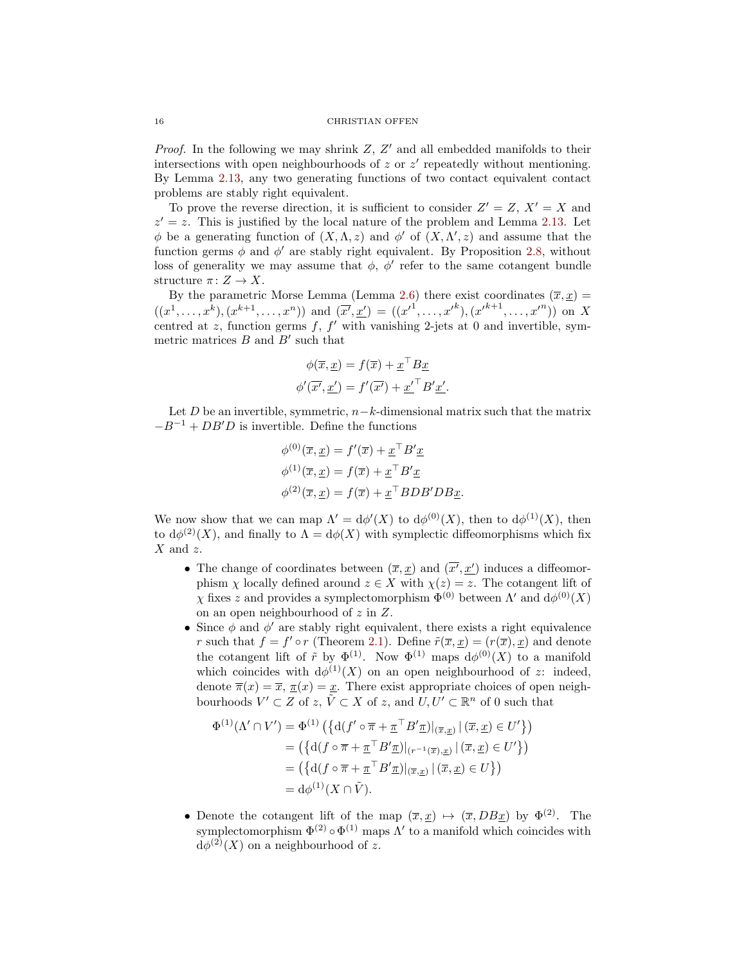*Proof.* In the following we may shrink  $Z$ ,  $Z'$  and all embedded manifolds to their intersections with open neighbourhoods of  $z$  or  $z'$  repeatedly without mentioning. By Lemma [2.13,](#page-14-2) any two generating functions of two contact equivalent contact problems are stably right equivalent.

To prove the reverse direction, it is sufficient to consider  $Z' = Z$ ,  $X' = X$  and  $z' = z$ . This is justified by the local nature of the problem and Lemma [2.13.](#page-14-2) Let φ be a generating function of  $(X, \Lambda, z)$  and φ' of  $(X, \Lambda', z)$  and assume that the function germs  $\phi$  and  $\phi'$  are stably right equivalent. By Proposition [2.8,](#page-10-1) without loss of generality we may assume that  $\phi$ ,  $\phi'$  refer to the same cotangent bundle structure  $\pi: Z \to X$ .

By the parametric Morse Lemma (Lemma [2.6\)](#page-9-2) there exist coordinates  $(\bar{x}, x) =$  $((x^1, \ldots, x^k), (x^{k+1}, \ldots, x^n))$  and  $(\overline{x'}, \underline{x'}) = ((x'^1, \ldots, x'^k), (x'^{k+1}, \ldots, x'^n))$  on X centred at  $z$ , function germs  $f$ ,  $f'$  with vanishing 2-jets at 0 and invertible, symmetric matrices  $B$  and  $B'$  such that

$$
\phi(\overline{x}, \underline{x}) = f(\overline{x}) + \underline{x}^{\top} B \underline{x}
$$

$$
\phi'(\overline{x'}, \underline{x'}) = f'(\overline{x'}) + \underline{x'}^{\top} B' \underline{x'}.
$$

Let D be an invertible, symmetric,  $n-k$ -dimensional matrix such that the matrix  $-B^{-1} + DB'D$  is invertible. Define the functions

$$
\phi^{(0)}(\overline{x}, \underline{x}) = f'(\overline{x}) + \underline{x}^\top B' \underline{x}
$$
  

$$
\phi^{(1)}(\overline{x}, \underline{x}) = f(\overline{x}) + \underline{x}^\top B' \underline{x}
$$
  

$$
\phi^{(2)}(\overline{x}, \underline{x}) = f(\overline{x}) + \underline{x}^\top BDB'DB\underline{x}.
$$

We now show that we can map  $\Lambda' = d\phi'(X)$  to  $d\phi^{(0)}(X)$ , then to  $d\phi^{(1)}(X)$ , then to  $d\phi^{(2)}(X)$ , and finally to  $\Lambda = d\phi(X)$  with symplectic diffeomorphisms which fix  $X$  and  $z$ .

- The change of coordinates between  $(\overline{x}, \underline{x})$  and  $(\overline{x'}, \underline{x'})$  induces a diffeomorphism  $\chi$  locally defined around  $z \in X$  with  $\chi(z) = z$ . The cotangent lift of  $\chi$  fixes z and provides a symplectomorphism  $\Phi^{(0)}$  between  $\Lambda'$  and  $d\phi^{(0)}(X)$ on an open neighbourhood of z in Z.
- Since  $\phi$  and  $\phi'$  are stably right equivalent, there exists a right equivalence r such that  $f = f' \circ r$  (Theorem [2.1\)](#page-5-2). Define  $\tilde{r}(\overline{x}, \underline{x}) = (r(\overline{x}), \underline{x})$  and denote the cotangent lift of  $\tilde{r}$  by  $\Phi^{(1)}$ . Now  $\Phi^{(1)}$  maps  $d\phi^{(0)}(X)$  to a manifold which coincides with  $d\phi^{(1)}(X)$  on an open neighbourhood of z: indeed, denote  $\overline{\pi}(x) = \overline{x}, \overline{\pi}(x) = x$ . There exist appropriate choices of open neighbourhoods  $V' \subset Z$  of  $z, \tilde{V} \subset X$  of  $z$ , and  $U, U' \subset \mathbb{R}^n$  of 0 such that

$$
\Phi^{(1)}(\Lambda' \cap V') = \Phi^{(1)}\left(\left\{d(f' \circ \overline{\pi} + \underline{\pi}^\top B' \underline{\pi})|_{(\overline{x}, \underline{x})}\right|(\overline{x}, \underline{x}) \in U'\right\}\right)
$$

$$
= \left(\left\{d(f \circ \overline{\pi} + \underline{\pi}^\top B' \underline{\pi})|_{(r^{-1}(\overline{x}), \underline{x})}\right|(\overline{x}, \underline{x}) \in U'\right\}\right)
$$

$$
= \left(\left\{d(f \circ \overline{\pi} + \underline{\pi}^\top B' \underline{\pi})|_{(\overline{x}, \underline{x})}\right|(\overline{x}, \underline{x}) \in U'\right\}\right)
$$

$$
= d\phi^{(1)}(X \cap \tilde{V}).
$$

• Denote the cotangent lift of the map  $(\overline{x}, \underline{x}) \mapsto (\overline{x}, DB \underline{x})$  by  $\Phi^{(2)}$ . The symplectomorphism  $\Phi^{(2)} \circ \Phi^{(1)}$  maps  $\Lambda'$  to a manifold which coincides with  $d\phi^{(2)}(X)$  on a neighbourhood of z.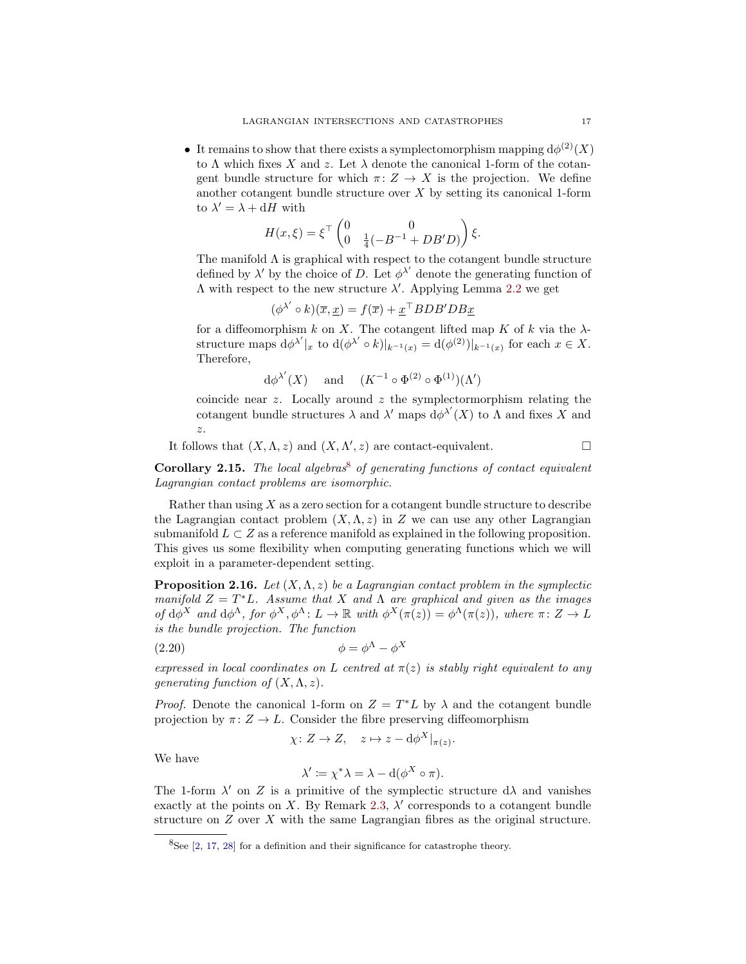• It remains to show that there exists a symplectomorphism mapping  $d\phi^{(2)}(X)$ to  $\Lambda$  which fixes X and z. Let  $\lambda$  denote the canonical 1-form of the cotangent bundle structure for which  $\pi: Z \to X$  is the projection. We define another cotangent bundle structure over  $X$  by setting its canonical 1-form to  $\lambda' = \lambda + dH$  with

$$
H(x,\xi) = \xi^{\top} \begin{pmatrix} 0 & 0 \\ 0 & \frac{1}{4}(-B^{-1} + DB'D) \end{pmatrix} \xi.
$$

The manifold  $\Lambda$  is graphical with respect to the cotangent bundle structure defined by  $\lambda'$  by the choice of D. Let  $\phi^{\lambda'}$  denote the generating function of  $Λ$  with respect to the new structure  $λ'$ . Applying Lemma [2.2](#page-6-4) we get

$$
(\phi^{\lambda'} \circ k)(\overline{x}, \underline{x}) = f(\overline{x}) + \underline{x}^\top BDB' DB \underline{x}
$$

for a diffeomorphism k on X. The cotangent lifted map K of k via the  $\lambda$ structure maps  $d\phi^{\lambda'}|_x$  to  $d(\phi^{\lambda'} \circ k)|_{k^{-1}(x)} = d(\phi^{(2)})|_{k^{-1}(x)}$  for each  $x \in X$ . Therefore,

$$
d\phi^{\lambda'}(X)
$$
 and  $(K^{-1} \circ \Phi^{(2)} \circ \Phi^{(1)})(\Lambda')$ 

coincide near  $z$ . Locally around  $z$  the symplectormorphism relating the cotangent bundle structures  $\lambda$  and  $\lambda'$  maps  $d\phi^{\lambda'}(X)$  to  $\Lambda$  and fixes  $\overline{X}$  and z.

It follows that  $(X, \Lambda, z)$  and  $(X, \Lambda', z)$  are contact-equivalent.

Corollary 2.15. The local algebras<sup>[8](#page-16-0)</sup> of generating functions of contact equivalent Lagrangian contact problems are isomorphic.

Rather than using  $X$  as a zero section for a cotangent bundle structure to describe the Lagrangian contact problem  $(X, \Lambda, z)$  in Z we can use any other Lagrangian submanifold  $L \subset Z$  as a reference manifold as explained in the following proposition. This gives us some flexibility when computing generating functions which we will exploit in a parameter-dependent setting.

**Proposition 2.16.** Let  $(X, \Lambda, z)$  be a Lagrangian contact problem in the symplectic manifold  $Z = T^*L$ . Assume that X and  $\Lambda$  are graphical and given as the images of  $d\phi^X$  and  $d\phi^A$ , for  $\phi^X$ ,  $\phi^A: L \to \mathbb{R}$  with  $\phi^X(\pi(z)) = \phi^A(\pi(z))$ , where  $\pi: Z \to L$ is the bundle projection. The function

$$
\phi = \phi^{\Lambda} - \phi^X
$$

expressed in local coordinates on L centred at  $\pi(z)$  is stably right equivalent to any generating function of  $(X, \Lambda, z)$ .

*Proof.* Denote the canonical 1-form on  $Z = T^*L$  by  $\lambda$  and the cotangent bundle projection by  $\pi: Z \to L$ . Consider the fibre preserving diffeomorphism

$$
\chi \colon Z \to Z, \quad z \mapsto z - d\phi^X|_{\pi(z)}.
$$

We have

$$
\lambda' \coloneqq \chi^* \lambda = \lambda - d(\phi^X \circ \pi).
$$

The 1-form  $\lambda'$  on Z is a primitive of the symplectic structure  $d\lambda$  and vanishes exactly at the points on X. By Remark [2.3,](#page-5-1)  $\lambda'$  corresponds to a cotangent bundle structure on Z over X with the same Lagrangian fibres as the original structure.

<span id="page-16-0"></span> ${}^{8}$ See [\[2,](#page-26-1) [17,](#page-26-2) [28\]](#page-27-1) for a definition and their significance for catastrophe theory.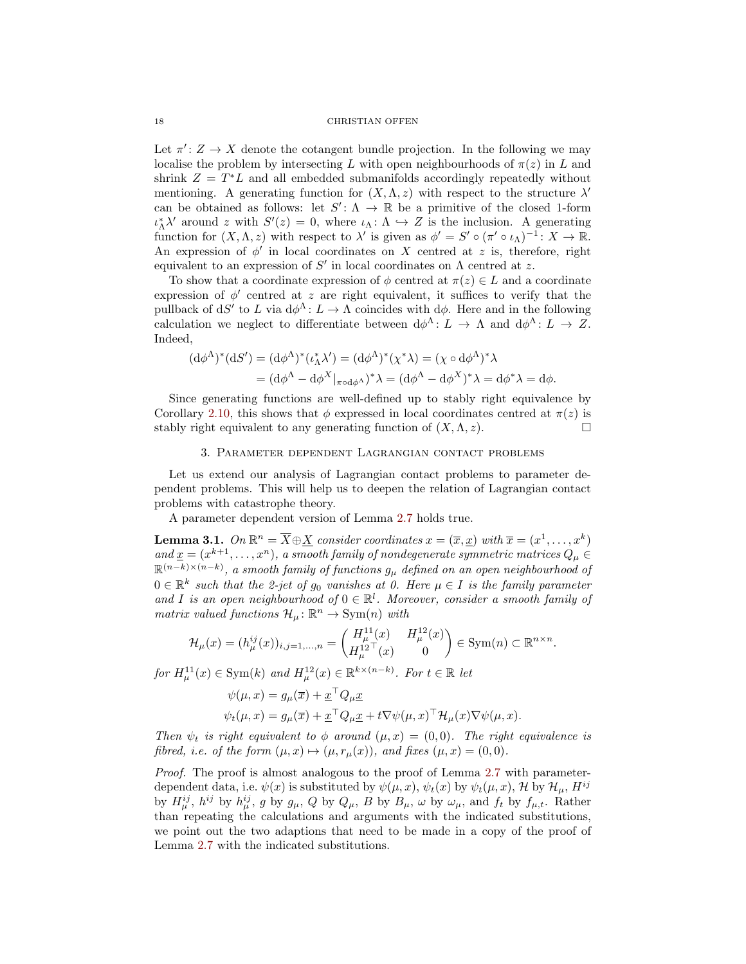Let  $\pi' : Z \to X$  denote the cotangent bundle projection. In the following we may localise the problem by intersecting L with open neighbourhoods of  $\pi(z)$  in L and shrink  $Z = T^*L$  and all embedded submanifolds accordingly repeatedly without mentioning. A generating function for  $(X, \Lambda, z)$  with respect to the structure  $\lambda'$ can be obtained as follows: let  $S' : \Lambda \to \mathbb{R}$  be a primitive of the closed 1-form  $\iota_{\Lambda}^* \lambda'$  around z with  $S'(z) = 0$ , where  $\iota_{\Lambda}: \Lambda \hookrightarrow Z$  is the inclusion. A generating function for  $(X, \Lambda, z)$  with respect to  $\lambda'$  is given as  $\phi' = S' \circ (\pi' \circ \iota_\Lambda)^{-1} : X \to \mathbb{R}$ . An expression of  $\phi'$  in local coordinates on X centred at z is, therefore, right equivalent to an expression of  $S'$  in local coordinates on  $\Lambda$  centred at z.

To show that a coordinate expression of  $\phi$  centred at  $\pi(z) \in L$  and a coordinate expression of  $\phi'$  centred at z are right equivalent, it suffices to verify that the pullback of dS' to L via  $d\phi^{\Lambda}$ :  $L \to \Lambda$  coincides with  $d\phi$ . Here and in the following calculation we neglect to differentiate between  $d\phi^{\Lambda}$ :  $L \to \Lambda$  and  $d\phi^{\Lambda}$ :  $L \to Z$ . Indeed,

$$
\begin{aligned} (\mathrm{d}\phi^{\Lambda})^*(\mathrm{d}S') &= (\mathrm{d}\phi^{\Lambda})^*(\iota_{\Lambda}^*\lambda') = (\mathrm{d}\phi^{\Lambda})^*(\chi^*\lambda) = (\chi \circ \mathrm{d}\phi^{\Lambda})^*\lambda \\ &= (\mathrm{d}\phi^{\Lambda} - \mathrm{d}\phi^X|_{\pi \circ \mathrm{d}\phi^{\Lambda}})^*\lambda = (\mathrm{d}\phi^{\Lambda} - \mathrm{d}\phi^X)^*\lambda = \mathrm{d}\phi^*\lambda = \mathrm{d}\phi. \end{aligned}
$$

Since generating functions are well-defined up to stably right equivalence by Corollary [2.10,](#page-14-3) this shows that  $\phi$  expressed in local coordinates centred at  $\pi(z)$  is stably right equivalent to any generating function of  $(X, \Lambda, z)$ .

### 3. Parameter dependent Lagrangian contact problems

<span id="page-17-0"></span>Let us extend our analysis of Lagrangian contact problems to parameter dependent problems. This will help us to deepen the relation of Lagrangian contact problems with catastrophe theory.

A parameter dependent version of Lemma [2.7](#page-9-3) holds true.

<span id="page-17-1"></span>**Lemma 3.1.** On  $\mathbb{R}^n = \overline{X} \oplus \underline{X}$  consider coordinates  $x = (\overline{x}, \underline{x})$  with  $\overline{x} = (x^1, \dots, x^k)$ and  $\underline{x} = (x^{k+1}, \ldots, x^n)$ , a smooth family of nondegenerate symmetric matrices  $Q_\mu \in$  $\mathbb{R}^{(n-k)\times (n-k)}$ , a smooth family of functions  $g_\mu$  defined on an open neighbourhood of  $0 \in \mathbb{R}^k$  such that the 2-jet of  $g_0$  vanishes at 0. Here  $\mu \in I$  is the family parameter and I is an open neighbourhood of  $0 \in \mathbb{R}^l$ . Moreover, consider a smooth family of matrix valued functions  $\mathcal{H}_{\mu} : \mathbb{R}^n \to \text{Sym}(n)$  with

$$
\mathcal{H}_{\mu}(x) = (h_{\mu}^{ij}(x))_{i,j=1,...,n} = \begin{pmatrix} H_{\mu}^{11}(x) & H_{\mu}^{12}(x) \\ H_{\mu}^{12}^{\top}(x) & 0 \end{pmatrix} \in \text{Sym}(n) \subset \mathbb{R}^{n \times n}.
$$

for  $H^{11}_{\mu}(x) \in \text{Sym}(k)$  and  $H^{12}_{\mu}(x) \in \mathbb{R}^{k \times (n-k)}$ . For  $t \in \mathbb{R}$  let

$$
\psi(\mu, x) = g_{\mu}(\overline{x}) + \underline{x}^{\top} Q_{\mu} \underline{x} \psi_t(\mu, x) = g_{\mu}(\overline{x}) + \underline{x}^{\top} Q_{\mu} \underline{x} + t \nabla \psi(\mu, x)^{\top} \mathcal{H}_{\mu}(x) \nabla \psi(\mu, x).
$$

Then  $\psi_t$  is right equivalent to  $\phi$  around  $(\mu, x) = (0, 0)$ . The right equivalence is fibred, i.e. of the form  $(\mu, x) \mapsto (\mu, r_{\mu}(x))$ , and fixes  $(\mu, x) = (0, 0)$ .

Proof. The proof is almost analogous to the proof of Lemma [2.7](#page-9-3) with parameterdependent data, i.e.  $\psi(x)$  is substituted by  $\psi(\mu, x)$ ,  $\psi_t(x)$  by  $\psi_t(\mu, x)$ , H by  $\mathcal{H}_{\mu}$ ,  $H^{ij}$ by  $H^{ij}_{\mu}$ ,  $h^{ij}$  by  $h^{ij}_{\mu}$ , g by  $g_{\mu}$ , Q by  $Q_{\mu}$ , B by  $B_{\mu}$ ,  $\omega$  by  $\omega_{\mu}$ , and  $f_t$  by  $f_{\mu,t}$ . Rather than repeating the calculations and arguments with the indicated substitutions, we point out the two adaptions that need to be made in a copy of the proof of Lemma [2.7](#page-9-3) with the indicated substitutions.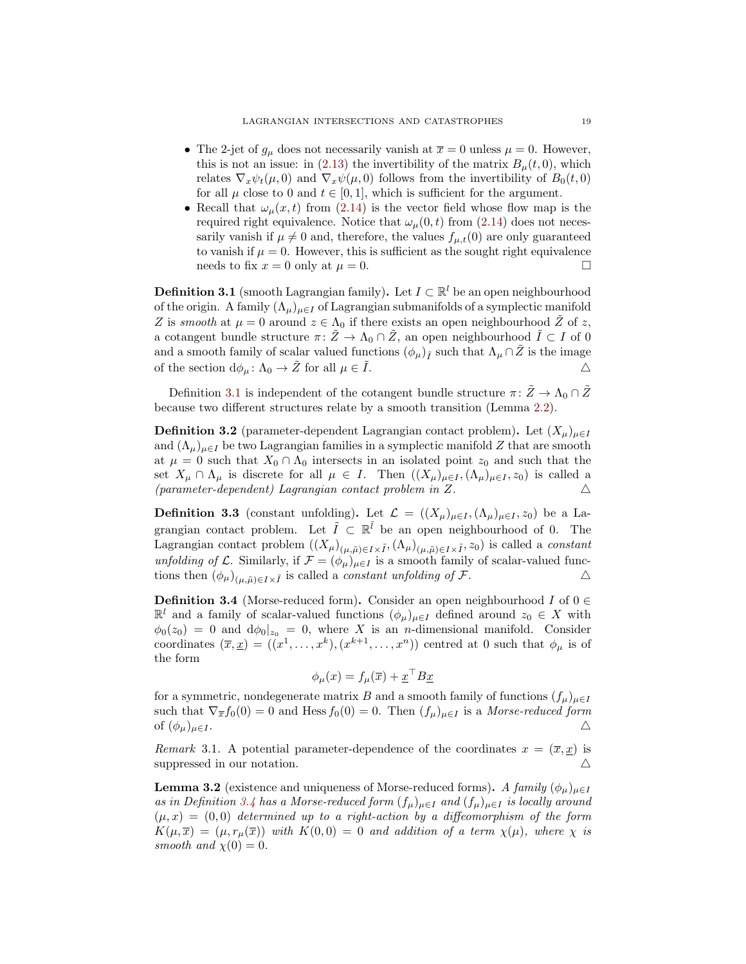- The 2-jet of  $g_{\mu}$  does not necessarily vanish at  $\bar{x} = 0$  unless  $\mu = 0$ . However, this is not an issue: in [\(2.13\)](#page-10-2) the invertibility of the matrix  $B_{\mu}(t,0)$ , which relates  $\nabla_x \psi_t(\mu, 0)$  and  $\nabla_x \psi(\mu, 0)$  follows from the invertibility of  $B_0(t, 0)$ for all  $\mu$  close to 0 and  $t \in [0, 1]$ , which is sufficient for the argument.
- Recall that  $\omega_{\mu}(x,t)$  from [\(2.14\)](#page-10-0) is the vector field whose flow map is the required right equivalence. Notice that  $\omega_{\mu}(0, t)$  from  $(2.14)$  does not necessarily vanish if  $\mu \neq 0$  and, therefore, the values  $f_{\mu,t}(0)$  are only guaranteed to vanish if  $\mu = 0$ . However, this is sufficient as the sought right equivalence needs to fix  $x = 0$  only at  $\mu = 0$ .

<span id="page-18-0"></span>**Definition 3.1** (smooth Lagrangian family). Let  $I \subset \mathbb{R}^l$  be an open neighbourhood of the origin. A family  $(\Lambda_{\mu})_{\mu \in I}$  of Lagrangian submanifolds of a symplectic manifold Z is smooth at  $\mu = 0$  around  $z \in \Lambda_0$  if there exists an open neighbourhood Z of z, a cotangent bundle structure  $\pi: Z \to \Lambda_0 \cap Z$ , an open neighbourhood  $I \subset I$  of 0 and a smooth family of scalar valued functions  $(\phi_{\mu})_{\tilde{I}}$  such that  $\Lambda_{\mu} \cap \tilde{Z}$  is the image of the section  $d\phi_{\mu} \colon \Lambda_0 \to \tilde{Z}$  for all  $\mu \in \tilde{I}$ .

Definition [3.1](#page-18-0) is independent of the cotangent bundle structure  $\pi: \tilde{Z} \to \Lambda_0 \cap \tilde{Z}$ because two different structures relate by a smooth transition (Lemma [2.2\)](#page-6-4).

**Definition 3.2** (parameter-dependent Lagrangian contact problem). Let  $(X_\mu)_{\mu \in I}$ and  $(\Lambda_{\mu})_{\mu \in I}$  be two Lagrangian families in a symplectic manifold Z that are smooth at  $\mu = 0$  such that  $X_0 \cap \Lambda_0$  intersects in an isolated point  $z_0$  and such that the set  $X_\mu \cap \Lambda_\mu$  is discrete for all  $\mu \in I$ . Then  $((X_\mu)_{\mu \in I}, (\Lambda_\mu)_{\mu \in I}, z_0)$  is called a (parameter-dependent) Lagrangian contact problem in Z.  $\Delta$ 

**Definition 3.3** (constant unfolding). Let  $\mathcal{L} = ((X_{\mu})_{\mu \in I}, (\Lambda_{\mu})_{\mu \in I}, z_0)$  be a Lagrangian contact problem. Let  $\tilde{I} \subset \mathbb{R}^{\tilde{l}}$  be an open neighbourhood of 0. The Lagrangian contact problem  $((X_\mu)_{(\mu,\tilde{\mu})\in I\times \tilde{I}},(\Lambda_\mu)_{(\mu,\tilde{\mu})\in I\times \tilde{I}},z_0)$  is called a *constant* unfolding of L. Similarly, if  $\mathcal{F} = (\phi_\mu)_{\mu \in I}$  is a smooth family of scalar-valued functions then  $(\phi_{\mu})_{(\mu,\tilde{\mu})\in I\times\tilde{I}}$  is called a *constant unfolding of*  $\mathcal{F}$ .

<span id="page-18-1"></span>**Definition 3.4** (Morse-reduced form). Consider an open neighbourhood I of  $0 \in$  $\mathbb{R}^l$  and a family of scalar-valued functions  $(\phi_\mu)_{\mu \in I}$  defined around  $z_0 \in X$  with  $\phi_0(z_0) = 0$  and  $d\phi_0|_{z_0} = 0$ , where X is an *n*-dimensional manifold. Consider coordinates  $(\bar{x}, \underline{x}) = ((x^1, \ldots, x^k), (x^{k+1}, \ldots, x^n))$  centred at 0 such that  $\phi_\mu$  is of the form

$$
\phi_{\mu}(x) = f_{\mu}(\overline{x}) + \underline{x}^{\top} B \underline{x}
$$

for a symmetric, nondegenerate matrix B and a smooth family of functions  $(f_\mu)_{\mu \in I}$ such that  $\nabla_{\overline{x}} f_0(0) = 0$  and Hess  $f_0(0) = 0$ . Then  $(f_\mu)_{\mu \in I}$  is a Morse-reduced form of  $(\phi_\mu)_{\mu \in I}$ .

Remark 3.1. A potential parameter-dependence of the coordinates  $x = (\overline{x}, \underline{x})$  is suppressed in our notation.  $\triangle$ 

<span id="page-18-2"></span>**Lemma 3.2** (existence and uniqueness of Morse-reduced forms). A family  $(\phi_{\mu})_{\mu \in I}$ as in Definition [3.4](#page-18-1) has a Morse-reduced form  $(f_{\mu})_{\mu \in I}$  and  $(f_{\mu})_{\mu \in I}$  is locally around  $(\mu, x) = (0, 0)$  determined up to a right-action by a diffeomorphism of the form  $K(\mu, \overline{x}) = (\mu, r_{\mu}(\overline{x}))$  with  $K(0, 0) = 0$  and addition of a term  $\chi(\mu)$ , where  $\chi$  is smooth and  $\chi(0) = 0$ .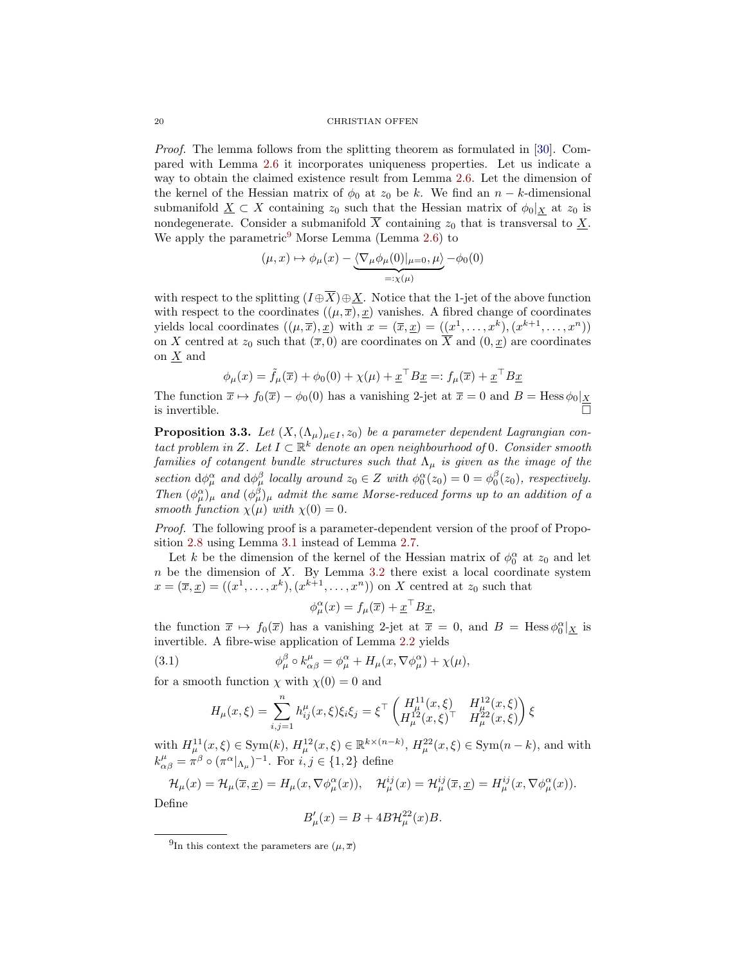Proof. The lemma follows from the splitting theorem as formulated in [\[30\]](#page-27-11). Compared with Lemma [2.6](#page-9-2) it incorporates uniqueness properties. Let us indicate a way to obtain the claimed existence result from Lemma [2.6.](#page-9-2) Let the dimension of the kernel of the Hessian matrix of  $\phi_0$  at  $z_0$  be k. We find an  $n - k$ -dimensional submanifold  $\underline{X} \subset X$  containing  $z_0$  such that the Hessian matrix of  $\phi_0|_X$  at  $z_0$  is nondegenerate. Consider a submanifold  $\overline{X}$  containing  $z_0$  that is transversal to  $\underline{X}$ . We apply the parametric<sup>[9](#page-19-0)</sup> Morse Lemma (Lemma [2.6\)](#page-9-2) to

$$
(\mu, x) \mapsto \phi_{\mu}(x) - \underbrace{\langle \nabla_{\mu} \phi_{\mu}(0) |_{\mu=0}, \mu \rangle}_{=:x(\mu)} - \phi_0(0)
$$

with respect to the splitting  $(I \oplus \overline{X}) \oplus \underline{X}$ . Notice that the 1-jet of the above function with respect to the coordinates  $((\mu, \overline{x}), \underline{x})$  vanishes. A fibred change of coordinates yields local coordinates  $((\mu, \overline{x}), \underline{x})$  with  $x = (\overline{x}, \underline{x}) = ((x^1, \dots, x^k), (x^{k+1}, \dots, x^n))$ on X centred at  $z_0$  such that  $(\overline{x}, 0)$  are coordinates on  $\overline{X}$  and  $(0, \underline{x})$  are coordinates on X and

$$
\phi_{\mu}(x) = \tilde{f}_{\mu}(\overline{x}) + \phi_0(0) + \chi(\mu) + \underline{x}^{\top} B \underline{x} =: f_{\mu}(\overline{x}) + \underline{x}^{\top} B \underline{x}
$$

The function  $\bar{x} \mapsto f_0(\bar{x}) - \phi_0(0)$  has a vanishing 2-jet at  $\bar{x} = 0$  and  $B = \text{Hess }\phi_0|_{\underline{X}}$ is invertible.

<span id="page-19-2"></span>**Proposition 3.3.** Let  $(X, (\Lambda_\mu)_{\mu \in I}, z_0)$  be a parameter dependent Lagrangian contact problem in Z. Let  $I \subset \mathbb{R}^k$  denote an open neighbourhood of 0. Consider smooth families of cotangent bundle structures such that  $\Lambda_{\mu}$  is given as the image of the section  $d\phi^{\alpha}_{\mu}$  and  $d\phi^{\beta}_{\mu}$  locally around  $z_0 \in Z$  with  $\phi^{\alpha}_{0}(z_0) = 0 = \phi^{\beta}_{0}(z_0)$ , respectively. Then  $(\phi^{\alpha}_{\mu})_{\mu}$  and  $(\phi^{\beta}_{\mu})_{\mu}$  admit the same Morse-reduced forms up to an addition of a smooth function  $\chi(\mu)$  with  $\chi(0) = 0$ .

Proof. The following proof is a parameter-dependent version of the proof of Proposition [2.8](#page-10-1) using Lemma [3.1](#page-17-1) instead of Lemma [2.7.](#page-9-3)

Let k be the dimension of the kernel of the Hessian matrix of  $\phi_0^{\alpha}$  at  $z_0$  and let  $n$  be the dimension of  $X$ . By Lemma [3.2](#page-18-2) there exist a local coordinate system  $x = (\overline{x}, \underline{x}) = ((x^1, \ldots, x^k), (x^{k+1}, \ldots, x^n))$  on X centred at  $z_0$  such that

<span id="page-19-1"></span>
$$
\phi_{\mu}^{\alpha}(x) = f_{\mu}(\overline{x}) + \underline{x}^{\top} B \underline{x},
$$

the function  $\bar{x} \mapsto f_0(\bar{x})$  has a vanishing 2-jet at  $\bar{x} = 0$ , and  $B = \text{Hess }\phi_0^{\alpha}|_{\underline{X}}$  is invertible. A fibre-wise application of Lemma [2.2](#page-6-4) yields

(3.1) 
$$
\phi^{\beta}_{\mu} \circ k^{\mu}_{\alpha\beta} = \phi^{\alpha}_{\mu} + H_{\mu}(x, \nabla \phi^{\alpha}_{\mu}) + \chi(\mu),
$$

for a smooth function  $\chi$  with  $\chi(0) = 0$  and

$$
H_{\mu}(x,\xi) = \sum_{i,j=1}^{n} h_{ij}^{\mu}(x,\xi)\xi_i\xi_j = \xi^{\top} \begin{pmatrix} H_{\mu}^{11}(x,\xi) & H_{\mu}^{12}(x,\xi) \\ H_{\mu}^{12}(x,\xi)^{\top} & H_{\mu}^{22}(x,\xi) \end{pmatrix} \xi
$$

with  $H_{\mu}^{11}(x,\xi) \in \text{Sym}(k)$ ,  $H_{\mu}^{12}(x,\xi) \in \mathbb{R}^{k \times (n-k)}$ ,  $H_{\mu}^{22}(x,\xi) \in \text{Sym}(n-k)$ , and with  $k_{\alpha\beta}^{\mu} = \pi^{\beta} \circ (\pi^{\alpha}|_{\Lambda_{\mu}})^{-1}$ . For  $i, j \in \{1, 2\}$  define

$$
\mathcal{H}_{\mu}(x) = \mathcal{H}_{\mu}(\overline{x}, \underline{x}) = H_{\mu}(x, \nabla \phi_{\mu}^{\alpha}(x)), \quad \mathcal{H}_{\mu}^{ij}(x) = \mathcal{H}_{\mu}^{ij}(\overline{x}, \underline{x}) = H_{\mu}^{ij}(x, \nabla \phi_{\mu}^{\alpha}(x)).
$$
  
Define

$$
B'_{\mu}(x) = B + 4B\mathcal{H}_{\mu}^{22}(x)B.
$$

<span id="page-19-0"></span><sup>&</sup>lt;sup>9</sup>In this context the parameters are  $(\mu, \overline{x})$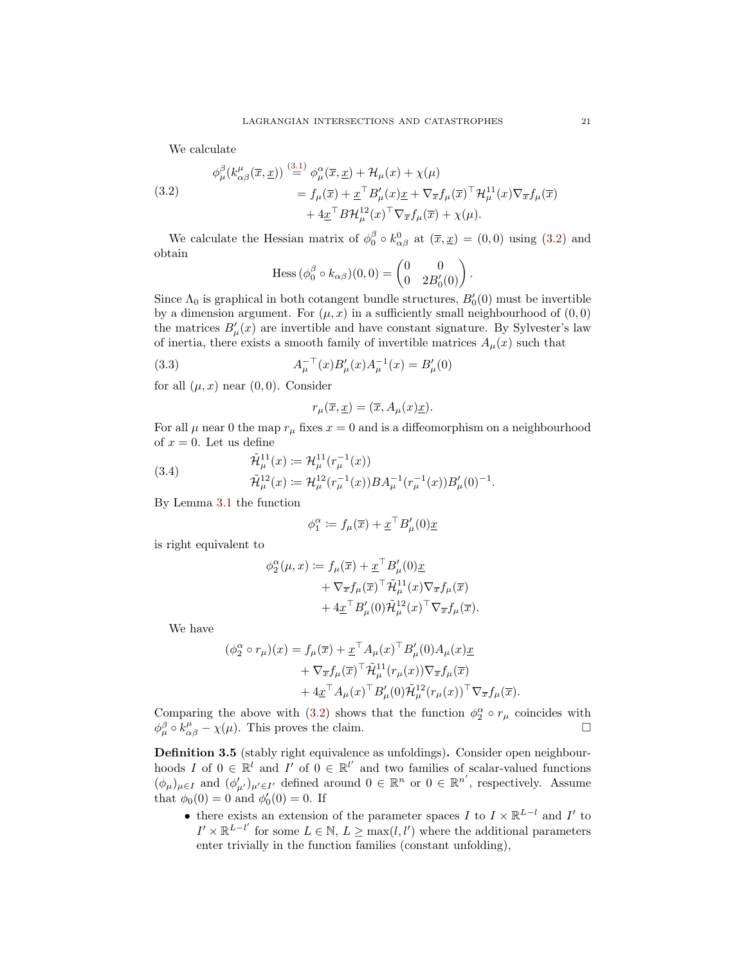We calculate

<span id="page-20-0"></span>(3.2)  
\n
$$
\phi^{\beta}_{\mu}(k^{\mu}_{\alpha\beta}(\overline{x},\underline{x})) \stackrel{(3.1)}{=} \phi^{\alpha}_{\mu}(\overline{x},\underline{x}) + \mathcal{H}_{\mu}(x) + \chi(\mu)
$$
\n
$$
= f_{\mu}(\overline{x}) + \underline{x}^{\top} B'_{\mu}(x) \underline{x} + \nabla_{\overline{x}} f_{\mu}(\overline{x})^{\top} \mathcal{H}^{11}_{\mu}(x) \nabla_{\overline{x}} f_{\mu}(\overline{x})
$$
\n
$$
+ 4 \underline{x}^{\top} B \mathcal{H}^{12}_{\mu}(x) \ulcorner \nabla_{\overline{x}} f_{\mu}(\overline{x}) + \chi(\mu).
$$

We calculate the Hessian matrix of  $\phi_0^{\beta} \circ k_{\alpha\beta}^0$  at  $(\bar{x}, \underline{x}) = (0, 0)$  using  $(3.2)$  and obtain

$$
\operatorname{Hess} (\phi_0^\beta \circ k_{\alpha\beta})(0,0) = \begin{pmatrix} 0 & 0 \\ 0 & 2B'_0(0) \end{pmatrix}.
$$

Since  $\Lambda_0$  is graphical in both cotangent bundle structures,  $B'_0(0)$  must be invertible by a dimension argument. For  $(\mu, x)$  in a sufficiently small neighbourhood of  $(0, 0)$ the matrices  $B_{\mu}'(x)$  are invertible and have constant signature. By Sylvester's law of inertia, there exists a smooth family of invertible matrices  $A_\mu(x)$  such that

(3.3) 
$$
A_{\mu}^{-\top}(x)B'_{\mu}(x)A_{\mu}^{-1}(x) = B'_{\mu}(0)
$$

for all  $(\mu, x)$  near  $(0, 0)$ . Consider

$$
r_{\mu}(\overline{x}, \underline{x}) = (\overline{x}, A_{\mu}(x)\underline{x}).
$$

For all  $\mu$  near 0 the map  $r_{\mu}$  fixes  $x = 0$  and is a diffeomorphism on a neighbourhood of  $x = 0$ . Let us define

(3.4) 
$$
\tilde{\mathcal{H}}_{\mu}^{11}(x) \coloneqq \mathcal{H}_{\mu}^{11}(r_{\mu}^{-1}(x)) \n\tilde{\mathcal{H}}_{\mu}^{12}(x) \coloneqq \mathcal{H}_{\mu}^{12}(r_{\mu}^{-1}(x))BA_{\mu}^{-1}(r_{\mu}^{-1}(x))B'_{\mu}(0)^{-1}.
$$

By Lemma [3.1](#page-17-1) the function

$$
\phi_1^{\alpha} := f_{\mu}(\overline{x}) + \underline{x}^{\top} B'_{\mu}(0) \underline{x}
$$

is right equivalent to

$$
\phi_2^{\alpha}(\mu, x) := f_{\mu}(\overline{x}) + \underline{x}^{\top} B'_{\mu}(0) \underline{x}
$$
  
+  $\nabla_{\overline{x}} f_{\mu}(\overline{x})^{\top} \widetilde{\mathcal{H}}_{\mu}^{11}(x) \nabla_{\overline{x}} f_{\mu}(\overline{x})$   
+  $4 \underline{x}^{\top} B'_{\mu}(0) \widetilde{\mathcal{H}}_{\mu}^{12}(x)^{\top} \nabla_{\overline{x}} f_{\mu}(\overline{x}).$ 

We have

$$
(\phi_2^{\alpha} \circ r_{\mu})(x) = f_{\mu}(\overline{x}) + \underline{x}^{\top} A_{\mu}(x)^{\top} B'_{\mu}(0) A_{\mu}(x) \underline{x}
$$
  
+  $\nabla_{\overline{x}} f_{\mu}(\overline{x})^{\top} \widetilde{\mathcal{H}}_{\mu}^{11}(r_{\mu}(x)) \nabla_{\overline{x}} f_{\mu}(\overline{x})$   
+  $4 \underline{x}^{\top} A_{\mu}(x)^{\top} B'_{\mu}(0) \widetilde{\mathcal{H}}_{\mu}^{12}(r_{\mu}(x))^{\top} \nabla_{\overline{x}} f_{\mu}(\overline{x}).$ 

Comparing the above with [\(3.2\)](#page-20-0) shows that the function  $\phi_2^{\alpha} \circ r_{\mu}$  coincides with  $\phi^{\beta}_{\mu} \circ k^{\mu}_{\alpha\beta} - \chi(\mu)$ . This proves the claim.

<span id="page-20-1"></span>Definition 3.5 (stably right equivalence as unfoldings). Consider open neighbourhoods I of  $0 \in \mathbb{R}^l$  and I' of  $0 \in \mathbb{R}^{l'}$  and two families of scalar-valued functions  $(\phi_{\mu})_{\mu \in I}$  and  $(\phi'_{\mu'})_{\mu' \in I'}$  defined around  $0 \in \mathbb{R}^n$  or  $0 \in \mathbb{R}^{n'}$ , respectively. Assume that  $\phi_0(0) = 0$  and  $\phi'_0(0) = 0$ . If

• there exists an extension of the parameter spaces I to  $I \times \mathbb{R}^{L-l}$  and I' to  $I' \times \mathbb{R}^{L-l'}$  for some  $L \in \mathbb{N}$ ,  $L \ge \max(l, l')$  where the additional parameters enter trivially in the function families (constant unfolding),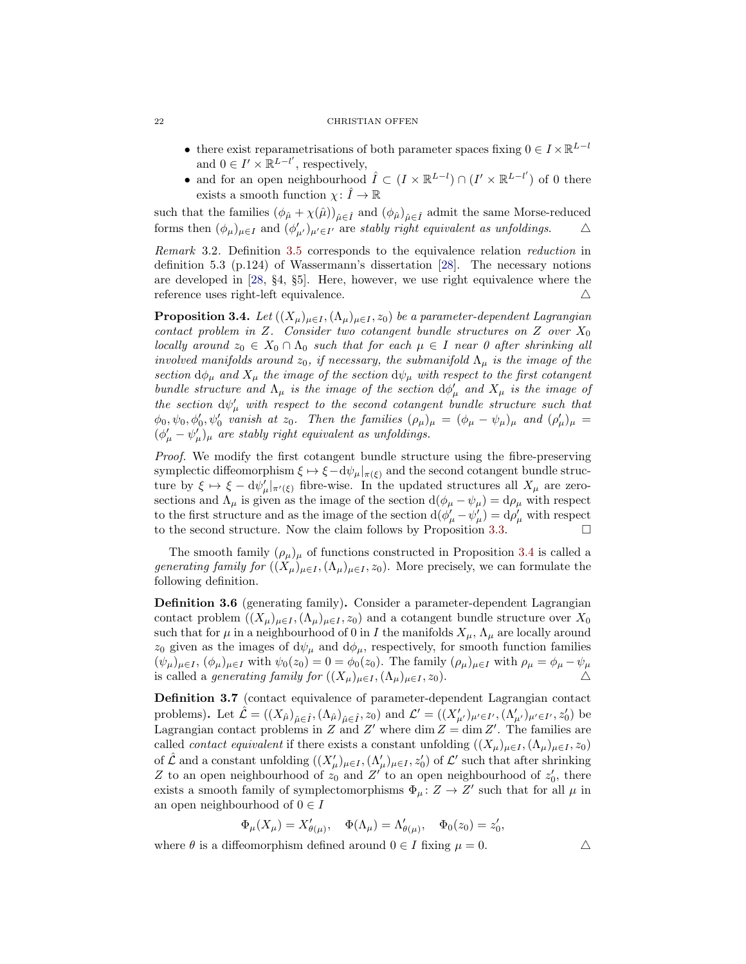#### 22 CHRISTIAN OFFEN

- there exist reparametrisations of both parameter spaces fixing  $0 \in I \times \mathbb{R}^{L-l}$ and  $0 \in I' \times \mathbb{R}^{L-l'}$ , respectively,
- and for an open neighbourhood  $\hat{I} \subset (I \times \mathbb{R}^{L-l}) \cap (I' \times \mathbb{R}^{L-l'})$  of 0 there exists a smooth function  $\chi: \hat{I} \to \mathbb{R}$

such that the families  $(\phi_{\hat{\mu}} + \chi(\hat{\mu}))_{\hat{\mu} \in \hat{I}}$  and  $(\phi_{\hat{\mu}})_{\hat{\mu} \in \hat{I}}$  admit the same Morse-reduced forms then  $(\phi_{\mu})_{\mu \in I}$  and  $(\phi'_{\mu'})_{\mu' \in I'}$  are stably right equivalent as unfoldings.  $\Delta$ 

Remark 3.2. Definition [3.5](#page-20-1) corresponds to the equivalence relation reduction in definition 5.3 (p.124) of Wassermann's dissertation [\[28\]](#page-27-1). The necessary notions are developed in [\[28,](#page-27-1) §4, §5]. Here, however, we use right equivalence where the reference uses right-left equivalence.  $\triangle$ 

<span id="page-21-0"></span>**Proposition 3.4.** Let  $((X_{\mu})_{\mu\in I}, (\Lambda_{\mu})_{\mu\in I}, z_0)$  be a parameter-dependent Lagrangian contact problem in Z. Consider two cotangent bundle structures on Z over  $X_0$ locally around  $z_0 \in X_0 \cap \Lambda_0$  such that for each  $\mu \in I$  near 0 after shrinking all involved manifolds around  $z_0$ , if necessary, the submanifold  $\Lambda_{\mu}$  is the image of the section  $d\phi_{\mu}$  and  $X_{\mu}$  the image of the section  $d\psi_{\mu}$  with respect to the first cotangent bundle structure and  $\Lambda_{\mu}$  is the image of the section  $d\phi_{\mu}^{\prime}$  and  $X_{\mu}$  is the image of the section  ${\rm d}\psi'_{\mu}$  with respect to the second cotangent bundle structure such that  $\phi_0, \psi_0, \phi'_0, \psi'_0$  vanish at  $z_0$ . Then the families  $(\rho_\mu)_{\mu} = (\phi_\mu - \psi_\mu)_{\mu}$  and  $(\rho'_\mu)_{\mu} =$  $(\phi'_{\mu} - \psi'_{\mu})_{\mu}$  are stably right equivalent as unfoldings.

Proof. We modify the first cotangent bundle structure using the fibre-preserving symplectic diffeomorphism  $\xi \mapsto \xi - d\psi_\mu|_{\pi(\xi)}$  and the second cotangent bundle structure by  $\xi \mapsto \xi - d\psi'_{\mu}|_{\pi'(\xi)}$  fibre-wise. In the updated structures all  $X_{\mu}$  are zerosections and  $\Lambda_{\mu}$  is given as the image of the section  $d(\phi_{\mu} - \psi_{\mu}) = d\rho_{\mu}$  with respect to the first structure and as the image of the section  $d(\phi'_{\mu} - \psi'_{\mu}) = d\rho'_{\mu}$  with respect to the second structure. Now the claim follows by Proposition [3.3.](#page-19-2)  $\Box$ 

The smooth family  $(\rho_\mu)_{\mu}$  of functions constructed in Proposition [3.4](#page-21-0) is called a generating family for  $((X_\mu)_{\mu \in I},(\Lambda_\mu)_{\mu \in I},z_0)$ . More precisely, we can formulate the following definition.

Definition 3.6 (generating family). Consider a parameter-dependent Lagrangian contact problem  $((X_\mu)_{\mu \in I},(\Lambda_\mu)_{\mu \in I},z_0)$  and a cotangent bundle structure over  $X_0$ such that for  $\mu$  in a neighbourhood of 0 in I the manifolds  $X_{\mu}$ ,  $\Lambda_{\mu}$  are locally around  $z_0$  given as the images of  $d\psi_\mu$  and  $d\phi_\mu$ , respectively, for smooth function families  $(\psi_{\mu})_{\mu \in I}$ ,  $(\phi_{\mu})_{\mu \in I}$  with  $\psi_0(z_0) = 0 = \phi_0(z_0)$ . The family  $(\rho_{\mu})_{\mu \in I}$  with  $\rho_{\mu} = \phi_{\mu} - \psi_{\mu}$ is called a *generating family for*  $((X_\mu)_{\mu \in I}, (\Lambda_\mu)_{\mu \in I}, z_0)$ .

Definition 3.7 (contact equivalence of parameter-dependent Lagrangian contact problems). Let  $\hat{\mathcal{L}} = ((X_{\hat{\mu}})_{\hat{\mu} \in \hat{I}}, (\Lambda_{\hat{\mu}})_{\hat{\mu} \in \hat{I}}, z_0)$  and  $\mathcal{L}' = ((X'_{\mu'})_{\mu' \in I'}, (\Lambda'_{\mu'})_{\mu' \in I'}, z'_0)$  be Lagrangian contact problems in Z and Z' where dim  $Z = \dim Z'$ . The families are called *contact equivalent* if there exists a constant unfolding  $((X_\mu)_{\mu \in I}, (\Lambda_\mu)_{\mu \in I}, z_0)$ of  $\hat{\mathcal{L}}$  and a constant unfolding  $((X'_{\mu})_{\mu\in I},(\Lambda'_{\mu})_{\mu\in I},z'_{0})$  of  $\mathcal{L}'$  such that after shrinking Z to an open neighbourhood of  $z_0$  and Z' to an open neighbourhood of  $z'_0$ , there exists a smooth family of symplectomorphisms  $\Phi_{\mu} : Z \to Z'$  such that for all  $\mu$  in an open neighbourhood of  $0 \in I$ 

$$
\Phi_{\mu}(X_{\mu}) = X'_{\theta(\mu)}, \quad \Phi(\Lambda_{\mu}) = \Lambda'_{\theta(\mu)}, \quad \Phi_0(z_0) = z'_0,
$$

where  $\theta$  is a diffeomorphism defined around  $0 \in I$  fixing  $\mu = 0$ .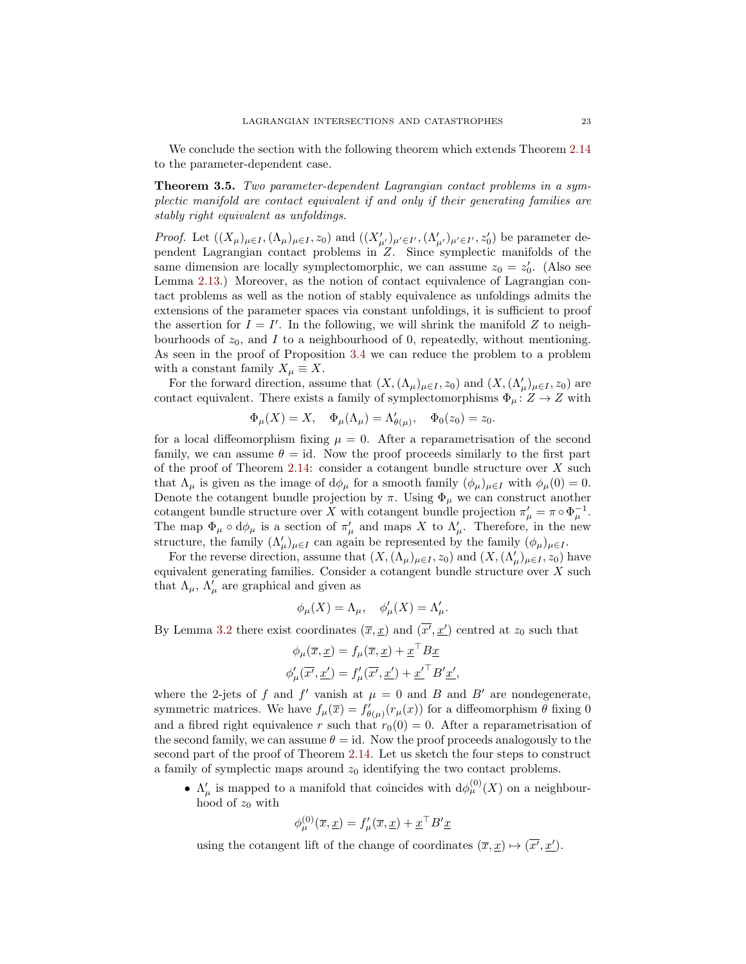We conclude the section with the following theorem which extends Theorem [2.14](#page-14-4) to the parameter-dependent case.

<span id="page-22-0"></span>**Theorem 3.5.** Two parameter-dependent Lagrangian contact problems in a symplectic manifold are contact equivalent if and only if their generating families are stably right equivalent as unfoldings.

*Proof.* Let  $((X_\mu)_{\mu \in I}, (\Lambda_\mu)_{\mu \in I}, z_0)$  and  $((X'_{\mu'})_{\mu' \in I'}, (\Lambda'_{\mu'})_{\mu' \in I'}, z'_0)$  be parameter dependent Lagrangian contact problems in Z. Since symplectic manifolds of the same dimension are locally symplectomorphic, we can assume  $z_0 = z'_0$ . (Also see Lemma [2.13.](#page-14-2)) Moreover, as the notion of contact equivalence of Lagrangian contact problems as well as the notion of stably equivalence as unfoldings admits the extensions of the parameter spaces via constant unfoldings, it is sufficient to proof the assertion for  $I = I'$ . In the following, we will shrink the manifold Z to neighbourhoods of  $z_0$ , and I to a neighbourhood of 0, repeatedly, without mentioning. As seen in the proof of Proposition [3.4](#page-21-0) we can reduce the problem to a problem with a constant family  $X_{\mu} \equiv X$ .

For the forward direction, assume that  $(X, (\Lambda_\mu)_{\mu \in I}, z_0)$  and  $(X, (\Lambda_\mu')_{\mu \in I}, z_0)$  are contact equivalent. There exists a family of symplectomorphisms  $\Phi_{\mu} \colon Z \to Z$  with

$$
\Phi_{\mu}(X) = X, \quad \Phi_{\mu}(\Lambda_{\mu}) = \Lambda_{\theta(\mu)}', \quad \Phi_0(z_0) = z_0.
$$

for a local diffeomorphism fixing  $\mu = 0$ . After a reparametrisation of the second family, we can assume  $\theta = id$ . Now the proof proceeds similarly to the first part of the proof of Theorem [2.14:](#page-14-4) consider a cotangent bundle structure over  $X$  such that  $\Lambda_{\mu}$  is given as the image of  $d\phi_{\mu}$  for a smooth family  $(\phi_{\mu})_{\mu \in I}$  with  $\phi_{\mu}(0) = 0$ . Denote the cotangent bundle projection by  $\pi$ . Using  $\Phi_{\mu}$  we can construct another cotangent bundle structure over X with cotangent bundle projection  $\pi_{\mu}' = \pi \circ \Phi_{\mu}^{-1}$ . The map  $\Phi_{\mu} \circ d\phi_{\mu}$  is a section of  $\pi'_{\mu}$  and maps X to  $\Lambda'_{\mu}$ . Therefore, in the new structure, the family  $(\Lambda_{\mu})_{\mu \in I}$  can again be represented by the family  $(\phi_{\mu})_{\mu \in I}$ .

For the reverse direction, assume that  $(X, (\Lambda_\mu)_{\mu \in I}, z_0)$  and  $(X, (\Lambda_\mu')_{\mu \in I}, z_0)$  have equivalent generating families. Consider a cotangent bundle structure over X such that  $\Lambda_{\mu}$ ,  $\Lambda'_{\mu}$  are graphical and given as

$$
\phi_{\mu}(X) = \Lambda_{\mu}, \quad \phi'_{\mu}(X) = \Lambda'_{\mu}.
$$

By Lemma [3.2](#page-18-2) there exist coordinates  $(\overline{x}, \underline{x})$  and  $(\overline{x'}, \underline{x'})$  centred at  $z_0$  such that

$$
\phi_{\mu}(\overline{x}, \underline{x}) = f_{\mu}(\overline{x}, \underline{x}) + \underline{x}^{\top} B \underline{x}
$$

$$
\phi_{\mu}'(\overline{x'}, \underline{x'}) = f_{\mu}'(\overline{x'}, \underline{x'}) + \underline{x'}^{\top} B' \underline{x'},
$$

where the 2-jets of f and f' vanish at  $\mu = 0$  and B and B' are nondegenerate, symmetric matrices. We have  $f_{\mu}(\bar{x}) = f'_{\theta(\mu)}(r_{\mu}(x))$  for a diffeomorphism  $\theta$  fixing 0 and a fibred right equivalence r such that  $r_0(0) = 0$ . After a reparametrisation of the second family, we can assume  $\theta = id$ . Now the proof proceeds analogously to the second part of the proof of Theorem [2.14.](#page-14-4) Let us sketch the four steps to construct a family of symplectic maps around  $z_0$  identifying the two contact problems.

•  $\Lambda'_{\mu}$  is mapped to a manifold that coincides with  $d\phi_{\mu}^{(0)}(X)$  on a neighbourhood of  $z_0$  with

$$
\phi_{\mu}^{(0)}(\overline{x},\underline{x}) = f'_{\mu}(\overline{x},\underline{x}) + \underline{x}^{\top} B' \underline{x}
$$

using the cotangent lift of the change of coordinates  $(\overline{x}, \underline{x}) \mapsto (\overline{x'}, \underline{x'})$ .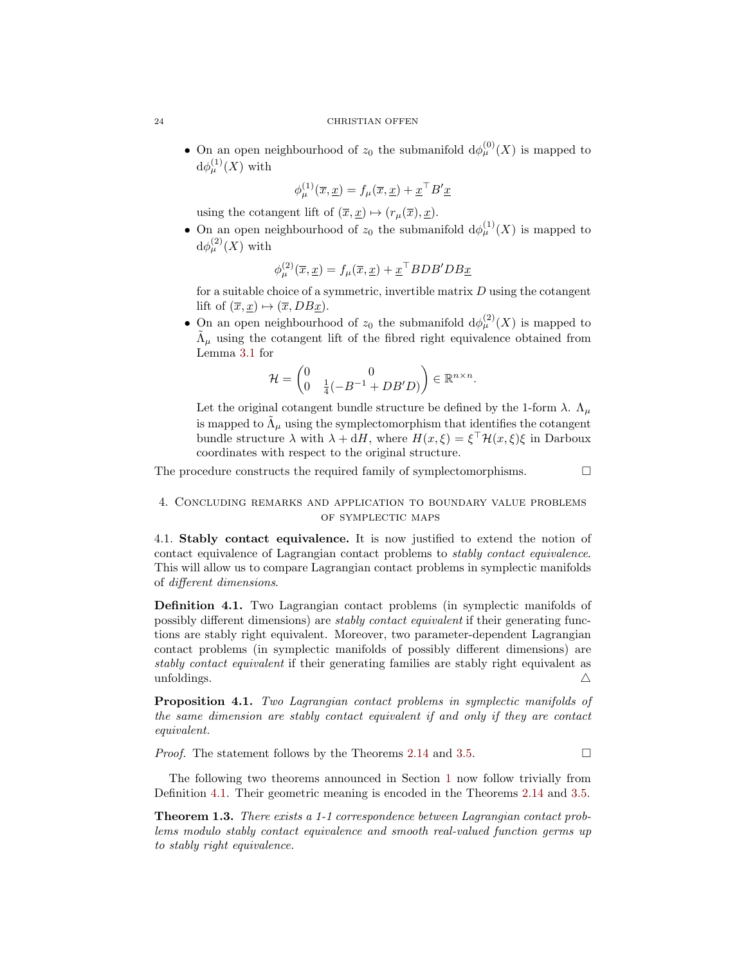• On an open neighbourhood of  $z_0$  the submanifold  $d\phi_{\mu}^{(0)}(X)$  is mapped to  ${\rm d}\phi^{(1)}_\mu(X)$  with

$$
\phi_{\mu}^{(1)}(\overline{x},\underline{x}) = f_{\mu}(\overline{x},\underline{x}) + \underline{x}^{\top} B' \underline{x}
$$

using the cotangent lift of  $(\overline{x}, \underline{x}) \mapsto (r_{\mu}(\overline{x}), \underline{x}).$ 

• On an open neighbourhood of  $z_0$  the submanifold  $d\phi_{\mu}^{(1)}(X)$  is mapped to  $d\phi_{\mu}^{(2)}(X)$  with

$$
\phi_{\mu}^{(2)}(\overline{x}, \underline{x}) = f_{\mu}(\overline{x}, \underline{x}) + \underline{x}^{\top} BDB' DB \underline{x}
$$

for a suitable choice of a symmetric, invertible matrix  $D$  using the cotangent lift of  $(\overline{x}, \underline{x}) \mapsto (\overline{x}, DB \underline{x}).$ 

• On an open neighbourhood of  $z_0$  the submanifold  $d\phi_{\mu}^{(2)}(X)$  is mapped to  $\tilde{\Lambda}_{\mu}$  using the cotangent lift of the fibred right equivalence obtained from Lemma [3.1](#page-17-1) for

$$
\mathcal{H} = \begin{pmatrix} 0 & 0 \\ 0 & \frac{1}{4}(-B^{-1} + DB'D) \end{pmatrix} \in \mathbb{R}^{n \times n}.
$$

Let the original cotangent bundle structure be defined by the 1-form  $\lambda$ .  $\Lambda_{\mu}$ is mapped to  $\tilde{\Lambda}_{\mu}$  using the symplectomorphism that identifies the cotangent bundle structure  $\lambda$  with  $\lambda + dH$ , where  $H(x,\xi) = \xi^{\top} \mathcal{H}(x,\xi) \xi$  in Darboux coordinates with respect to the original structure.

The procedure constructs the required family of symplectomorphisms.  $\Box$ 

## <span id="page-23-0"></span>4. Concluding remarks and application to boundary value problems of symplectic maps

4.1. Stably contact equivalence. It is now justified to extend the notion of contact equivalence of Lagrangian contact problems to stably contact equivalence. This will allow us to compare Lagrangian contact problems in symplectic manifolds of different dimensions.

<span id="page-23-1"></span>Definition 4.1. Two Lagrangian contact problems (in symplectic manifolds of possibly different dimensions) are stably contact equivalent if their generating functions are stably right equivalent. Moreover, two parameter-dependent Lagrangian contact problems (in symplectic manifolds of possibly different dimensions) are stably contact equivalent if their generating families are stably right equivalent as unfoldings.  $\triangle$ 

Proposition 4.1. Two Lagrangian contact problems in symplectic manifolds of the same dimension are stably contact equivalent if and only if they are contact equivalent.

*Proof.* The statement follows by the Theorems [2.14](#page-14-4) and [3.5.](#page-22-0)  $\Box$ 

The following two theorems announced in Section [1](#page-0-0) now follow trivially from Definition [4.1.](#page-23-1) Their geometric meaning is encoded in the Theorems [2.14](#page-14-4) and [3.5.](#page-22-0)

Theorem 1.3. There exists a 1-1 correspondence between Lagrangian contact problems modulo stably contact equivalence and smooth real-valued function germs up to stably right equivalence.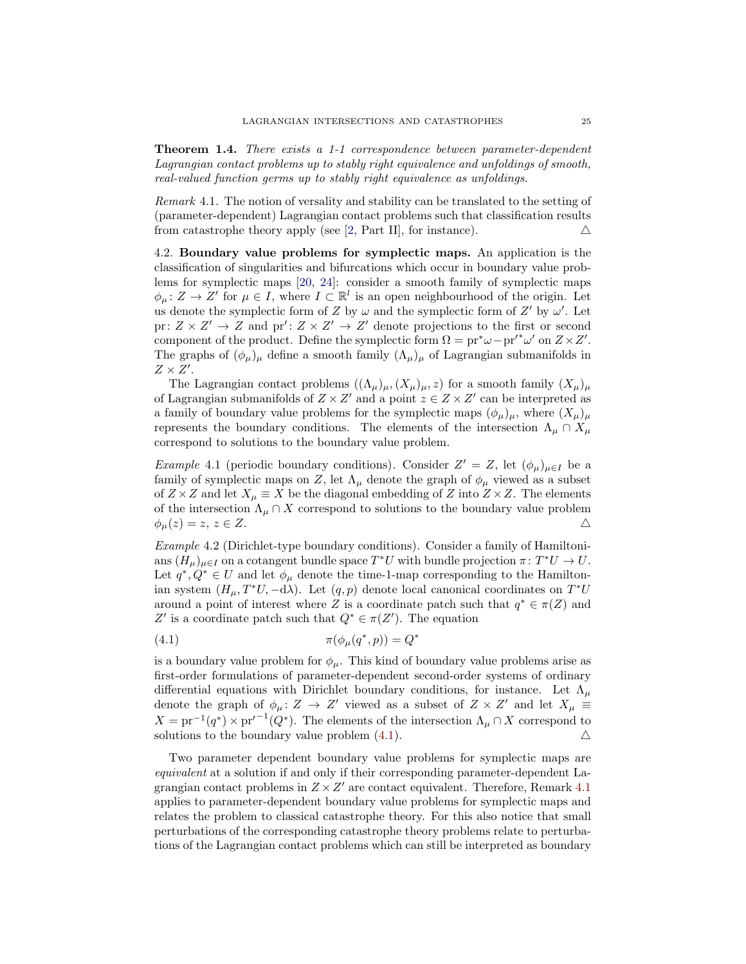Theorem 1.4. There exists a 1-1 correspondence between parameter-dependent Lagrangian contact problems up to stably right equivalence and unfoldings of smooth, real-valued function germs up to stably right equivalence as unfoldings.

<span id="page-24-1"></span>Remark 4.1. The notion of versality and stability can be translated to the setting of (parameter-dependent) Lagrangian contact problems such that classification results from catastrophe theory apply (see [\[2,](#page-26-1) Part II], for instance).  $\Delta$ 

4.2. Boundary value problems for symplectic maps. An application is the classification of singularities and bifurcations which occur in boundary value problems for symplectic maps [\[20,](#page-27-4) [24\]](#page-27-8): consider a smooth family of symplectic maps  $\phi_{\mu} \colon Z \to Z'$  for  $\mu \in I$ , where  $I \subset \mathbb{R}^l$  is an open neighbourhood of the origin. Let us denote the symplectic form of Z by  $\omega$  and the symplectic form of Z' by  $\omega'$ . Let pr:  $Z \times Z' \to Z$  and pr':  $Z \times Z' \to Z'$  denote projections to the first or second component of the product. Define the symplectic form  $\Omega = \text{pr}^* \omega - \text{pr'}^* \omega'$  on  $Z \times Z'$ . The graphs of  $(\phi_{\mu})_{\mu}$  define a smooth family  $(\Lambda_{\mu})_{\mu}$  of Lagrangian submanifolds in  $Z \times Z'$ .

The Lagrangian contact problems  $((\Lambda_\mu)_\mu,(X_\mu)_\mu,z)$  for a smooth family  $(X_\mu)_\mu$ of Lagrangian submanifolds of  $Z \times Z'$  and a point  $z \in Z \times Z'$  can be interpreted as a family of boundary value problems for the symplectic maps  $(\phi_\mu)_{\mu}$ , where  $(X_\mu)_{\mu}$ represents the boundary conditions. The elements of the intersection  $\Lambda_{\mu} \cap X_{\mu}$ correspond to solutions to the boundary value problem.

*Example* 4.1 (periodic boundary conditions). Consider  $Z' = Z$ , let  $(\phi_{\mu})_{\mu \in I}$  be a family of symplectic maps on Z, let  $\Lambda_{\mu}$  denote the graph of  $\phi_{\mu}$  viewed as a subset of  $Z \times Z$  and let  $X_{\mu} \equiv X$  be the diagonal embedding of Z into  $Z \times Z$ . The elements of the intersection  $\Lambda_{\mu} \cap X$  correspond to solutions to the boundary value problem  $\phi_u(z) = z, z \in Z.$ 

Example 4.2 (Dirichlet-type boundary conditions). Consider a family of Hamiltonians  $(H_{\mu})_{\mu \in I}$  on a cotangent bundle space  $T^*U$  with bundle projection  $\pi: T^*U \to U$ . Let  $q^*, Q^* \in U$  and let  $\phi_\mu$  denote the time-1-map corresponding to the Hamiltonian system  $(H_{\mu}, T^*U, -d\lambda)$ . Let  $(q, p)$  denote local canonical coordinates on  $T^*U$ around a point of interest where Z is a coordinate patch such that  $q^* \in \pi(Z)$  and Z' is a coordinate patch such that  $Q^* \in \pi(Z')$ . The equation

<span id="page-24-0"></span>
$$
\pi(\phi_{\mu}(q^*,p)) = Q^*
$$

is a boundary value problem for  $\phi_{\mu}$ . This kind of boundary value problems arise as first-order formulations of parameter-dependent second-order systems of ordinary differential equations with Dirichlet boundary conditions, for instance. Let  $\Lambda$ <sub>u</sub> denote the graph of  $\phi_{\mu} \colon Z \to Z'$  viewed as a subset of  $Z \times Z'$  and let  $X_{\mu} \equiv$  $X = pr^{-1}(q^*) \times pr'^{-1}(Q^*)$ . The elements of the intersection  $\Lambda_\mu \cap X$  correspond to solutions to the boundary value problem  $(4.1)$ .

Two parameter dependent boundary value problems for symplectic maps are equivalent at a solution if and only if their corresponding parameter-dependent Lagrangian contact problems in  $Z \times Z'$  are contact equivalent. Therefore, Remark [4.1](#page-24-1) applies to parameter-dependent boundary value problems for symplectic maps and relates the problem to classical catastrophe theory. For this also notice that small perturbations of the corresponding catastrophe theory problems relate to perturbations of the Lagrangian contact problems which can still be interpreted as boundary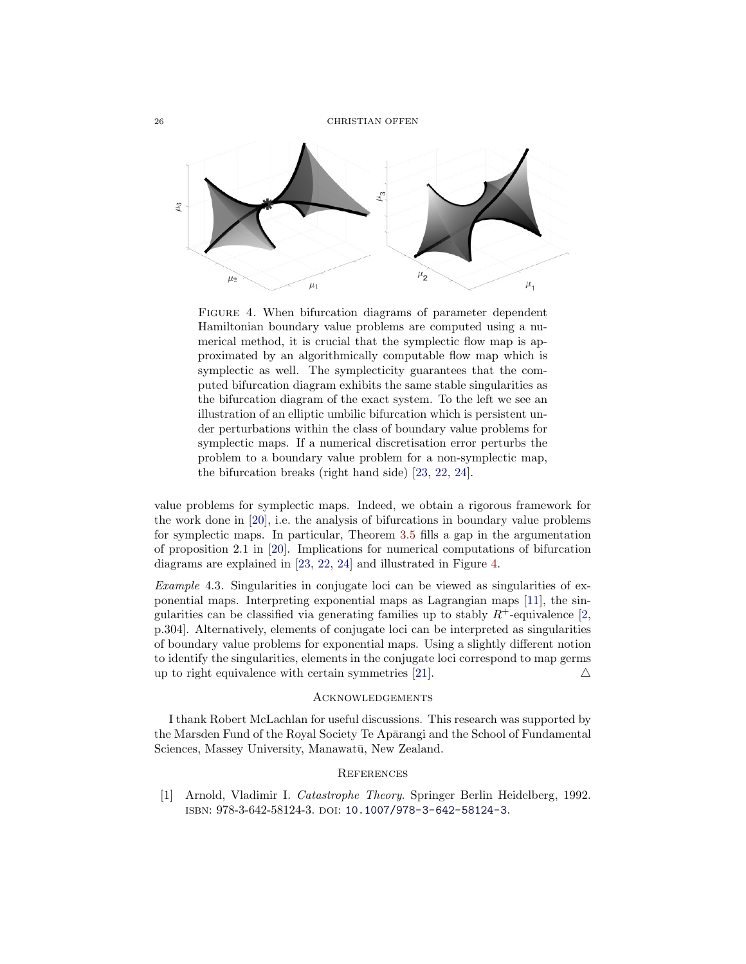26 CHRISTIAN OFFEN



<span id="page-25-1"></span>FIGURE 4. When bifurcation diagrams of parameter dependent Hamiltonian boundary value problems are computed using a numerical method, it is crucial that the symplectic flow map is approximated by an algorithmically computable flow map which is symplectic as well. The symplecticity guarantees that the computed bifurcation diagram exhibits the same stable singularities as the bifurcation diagram of the exact system. To the left we see an illustration of an elliptic umbilic bifurcation which is persistent under perturbations within the class of boundary value problems for symplectic maps. If a numerical discretisation error perturbs the problem to a boundary value problem for a non-symplectic map, the bifurcation breaks (right hand side) [\[23,](#page-27-6) [22,](#page-27-7) [24\]](#page-27-8).

value problems for symplectic maps. Indeed, we obtain a rigorous framework for the work done in [\[20\]](#page-27-4), i.e. the analysis of bifurcations in boundary value problems for symplectic maps. In particular, Theorem [3.5](#page-22-0) fills a gap in the argumentation of proposition 2.1 in [\[20\]](#page-27-4). Implications for numerical computations of bifurcation diagrams are explained in [\[23,](#page-27-6) [22,](#page-27-7) [24\]](#page-27-8) and illustrated in Figure [4.](#page-25-1)

Example 4.3. Singularities in conjugate loci can be viewed as singularities of exponential maps. Interpreting exponential maps as Lagrangian maps [\[11\]](#page-26-15), the singularities can be classified via generating families up to stably  $R^+$ -equivalence [\[2,](#page-26-1) p.304]. Alternatively, elements of conjugate loci can be interpreted as singularities of boundary value problems for exponential maps. Using a slightly different notion to identify the singularities, elements in the conjugate loci correspond to map germs up to right equivalence with certain symmetries [\[21\]](#page-27-5).  $\triangle$ 

### Acknowledgements

I thank Robert McLachlan for useful discussions. This research was supported by the Marsden Fund of the Royal Society Te Aparangi and the School of Fundamental Sciences, Massey University, Manawatū, New Zealand.

### **REFERENCES**

<span id="page-25-0"></span>[1] Arnold, Vladimir I. Catastrophe Theory. Springer Berlin Heidelberg, 1992. isbn: 978-3-642-58124-3. doi: [10.1007/978-3-642-58124-3](https://doi.org/10.1007/978-3-642-58124-3).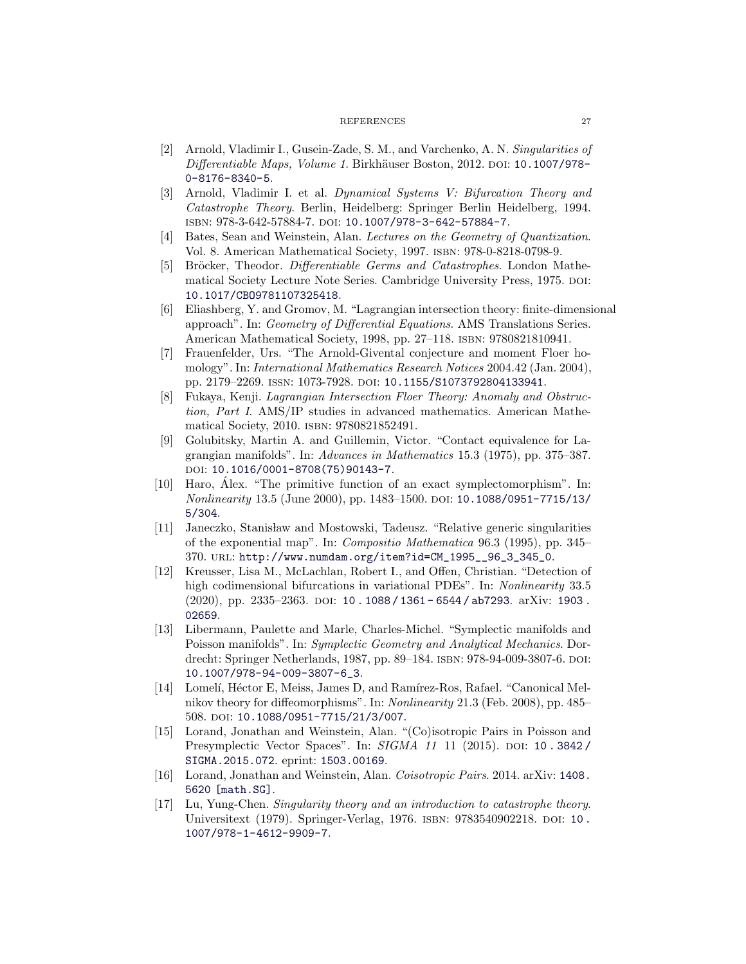#### REFERENCES 27

- <span id="page-26-1"></span>[2] Arnold, Vladimir I., Gusein-Zade, S. M., and Varchenko, A. N. Singularities of Differentiable Maps, Volume 1. Birkhäuser Boston, 2012. poi: [10.1007/978-](https://doi.org/10.1007/978-0-8176-8340-5) [0-8176-8340-5](https://doi.org/10.1007/978-0-8176-8340-5).
- <span id="page-26-0"></span>[3] Arnold, Vladimir I. et al. Dynamical Systems V: Bifurcation Theory and Catastrophe Theory. Berlin, Heidelberg: Springer Berlin Heidelberg, 1994. isbn: 978-3-642-57884-7. doi: [10.1007/978-3-642-57884-7](https://doi.org/10.1007/978-3-642-57884-7).
- <span id="page-26-11"></span>[4] Bates, Sean and Weinstein, Alan. Lectures on the Geometry of Quantization. Vol. 8. American Mathematical Society, 1997. isbn: 978-0-8218-0798-9.
- <span id="page-26-4"></span>[5] Bröcker, Theodor. Differentiable Germs and Catastrophes. London Mathematical Society Lecture Note Series. Cambridge University Press, 1975. doi: [10.1017/CBO9781107325418](https://doi.org/10.1017/CBO9781107325418).
- <span id="page-26-9"></span>[6] Eliashberg, Y. and Gromov, M. "Lagrangian intersection theory: finite-dimensional approach". In: Geometry of Differential Equations. AMS Translations Series. American Mathematical Society, 1998, pp. 27–118. isbn: 9780821810941.
- <span id="page-26-7"></span>[7] Frauenfelder, Urs. "The Arnold-Givental conjecture and moment Floer homology". In: International Mathematics Research Notices 2004.42 (Jan. 2004), pp. 2179-2269. ISSN: 1073-7928. DOI: [10.1155/S1073792804133941](https://doi.org/10.1155/S1073792804133941).
- <span id="page-26-8"></span>[8] Fukaya, Kenji. Lagrangian Intersection Floer Theory: Anomaly and Obstruction, Part I. AMS/IP studies in advanced mathematics. American Mathematical Society, 2010. isbn: 9780821852491.
- <span id="page-26-3"></span>[9] Golubitsky, Martin A. and Guillemin, Victor. "Contact equivalence for Lagrangian manifolds". In: Advances in Mathematics 15.3 (1975), pp. 375–387. DOI: [10.1016/0001-8708\(75\)90143-7](https://doi.org/10.1016/0001-8708(75)90143-7).
- <span id="page-26-5"></span>[10] Haro, Alex. "The primitive function of an exact symplectomorphism". In: ´ Nonlinearity 13.5 (June 2000), pp. 1483–1500. doi: [10.1088/0951-7715/13/](https://doi.org/10.1088/0951-7715/13/5/304) [5/304](https://doi.org/10.1088/0951-7715/13/5/304).
- <span id="page-26-15"></span>[11] Janeczko, Stanisław and Mostowski, Tadeusz. "Relative generic singularities of the exponential map". In: Compositio Mathematica 96.3 (1995), pp. 345– 370. url: [http://www.numdam.org/item?id=CM\\_1995\\_\\_96\\_3\\_345\\_0](http://www.numdam.org/item?id=CM_1995__96_3_345_0).
- <span id="page-26-10"></span>[12] Kreusser, Lisa M., McLachlan, Robert I., and Offen, Christian. "Detection of high codimensional bifurcations in variational PDEs". In: Nonlinearity 33.5 (2020), pp. 2335–2363. DOI: [10 . 1088 / 1361 - 6544 / ab7293](https://doi.org/10.1088/1361-6544/ab7293). arXiv: 1903. [02659](https://arxiv.org/abs/1903.02659).
- <span id="page-26-12"></span>[13] Libermann, Paulette and Marle, Charles-Michel. "Symplectic manifolds and Poisson manifolds". In: Symplectic Geometry and Analytical Mechanics. Dordrecht: Springer Netherlands, 1987, pp. 89–184. ISBN: 978-94-009-3807-6. DOI: [10.1007/978-94-009-3807-6\\_3](https://doi.org/10.1007/978-94-009-3807-6_3).
- <span id="page-26-6"></span>[14] Lomelí, Héctor E, Meiss, James D, and Ramírez-Ros, Rafael. "Canonical Melnikov theory for diffeomorphisms". In: Nonlinearity 21.3 (Feb. 2008), pp. 485– 508. doi: [10.1088/0951-7715/21/3/007](https://doi.org/10.1088/0951-7715/21/3/007).
- <span id="page-26-14"></span>[15] Lorand, Jonathan and Weinstein, Alan. "(Co)isotropic Pairs in Poisson and Presymplectic Vector Spaces". In: SIGMA 11 11 (2015). DOI: 10.3842/ [SIGMA.2015.072](https://doi.org/10.3842/SIGMA.2015.072). eprint: <1503.00169>.
- <span id="page-26-13"></span>[16] Lorand, Jonathan and Weinstein, Alan. Coisotropic Pairs. 2014. arXiv: [1408.](https://arxiv.org/abs/1408.5620) [5620 \[math.SG\]](https://arxiv.org/abs/1408.5620).
- <span id="page-26-2"></span>[17] Lu, Yung-Chen. Singularity theory and an introduction to catastrophe theory. Universitext (1979). Springer-Verlag, 1976. ISBN: 9783540902218. DOI: 10. [1007/978-1-4612-9909-7](https://doi.org/10.1007/978-1-4612-9909-7).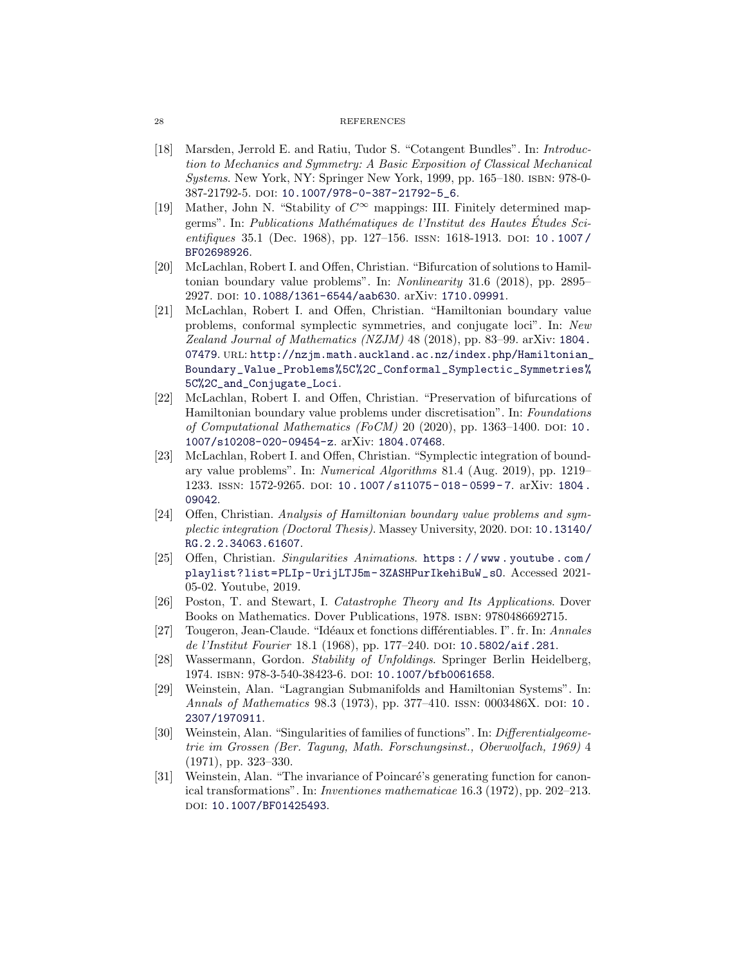#### 28 REFERENCES

- <span id="page-27-13"></span>[18] Marsden, Jerrold E. and Ratiu, Tudor S. "Cotangent Bundles". In: Introduction to Mechanics and Symmetry: A Basic Exposition of Classical Mechanical Systems. New York, NY: Springer New York, 1999, pp. 165–180. isbn: 978-0- 387-21792-5. doi: [10.1007/978-0-387-21792-5\\_6](https://doi.org/10.1007/978-0-387-21792-5_6).
- <span id="page-27-10"></span>[19] Mather, John N. "Stability of  $C^{\infty}$  mappings: III. Finitely determined mapgerms". In: Publications Mathématiques de l'Institut des Hautes Études Scientifiques 35.1 (Dec. 1968), pp. 127–156. ISSN: 1618-1913. DOI: 10.1007/ [BF02698926](https://doi.org/10.1007/BF02698926).
- <span id="page-27-4"></span>[20] McLachlan, Robert I. and Offen, Christian. "Bifurcation of solutions to Hamiltonian boundary value problems". In: Nonlinearity 31.6 (2018), pp. 2895– 2927. DOI: [10.1088/1361-6544/aab630](https://doi.org/10.1088/1361-6544/aab630). arXiv: [1710.09991](https://arxiv.org/abs/1710.09991).
- <span id="page-27-5"></span>[21] McLachlan, Robert I. and Offen, Christian. "Hamiltonian boundary value problems, conformal symplectic symmetries, and conjugate loci". In: New Zealand Journal of Mathematics (NZJM) 48 (2018), pp. 83–99. arXiv: [1804.](https://arxiv.org/abs/1804.07479) [07479](https://arxiv.org/abs/1804.07479). URL: [http://nzjm.math.auckland.ac.nz/index.php/Hamiltonian\\_](http://nzjm.math.auckland.ac.nz/index.php/Hamiltonian_Boundary_Value_Problems%5C%2C_Conformal_Symplectic_Symmetries%5C%2C_and_Conjugate_Loci) [Boundary\\_Value\\_Problems%5C%2C\\_Conformal\\_Symplectic\\_Symmetries%](http://nzjm.math.auckland.ac.nz/index.php/Hamiltonian_Boundary_Value_Problems%5C%2C_Conformal_Symplectic_Symmetries%5C%2C_and_Conjugate_Loci) [5C%2C\\_and\\_Conjugate\\_Loci](http://nzjm.math.auckland.ac.nz/index.php/Hamiltonian_Boundary_Value_Problems%5C%2C_Conformal_Symplectic_Symmetries%5C%2C_and_Conjugate_Loci).
- <span id="page-27-7"></span>[22] McLachlan, Robert I. and Offen, Christian. "Preservation of bifurcations of Hamiltonian boundary value problems under discretisation". In: Foundations of Computational Mathematics (FoCM) 20 (2020), pp. 1363–1400. DOI: [10.](https://doi.org/10.1007/s10208-020-09454-z) [1007/s10208-020-09454-z](https://doi.org/10.1007/s10208-020-09454-z). arXiv: [1804.07468](https://arxiv.org/abs/1804.07468).
- <span id="page-27-6"></span>[23] McLachlan, Robert I. and Offen, Christian. "Symplectic integration of boundary value problems". In: Numerical Algorithms 81.4 (Aug. 2019), pp. 1219– 1233. issn: 1572-9265. doi: [10.1007/s11075- 018- 0599- 7](https://doi.org/10.1007/s11075-018-0599-7). arXiv: [1804.](https://arxiv.org/abs/1804.09042) [09042](https://arxiv.org/abs/1804.09042).
- <span id="page-27-8"></span>[24] Offen, Christian. Analysis of Hamiltonian boundary value problems and sym-plectic integration (Doctoral Thesis). Massey University, 2020. DOI: [10.13140/](https://doi.org/10.13140/RG.2.2.34063.61607) [RG.2.2.34063.61607](https://doi.org/10.13140/RG.2.2.34063.61607).
- <span id="page-27-9"></span>[25] Offen, Christian. Singularities Animations. [https : / / www . youtube . com /](https://www.youtube.com/playlist?list=PLIp-UrijLTJ5m-3ZASHPurIkehiBuW_sO) [playlist?list=PLIp- UrijLTJ5m- 3ZASHPurIkehiBuW\\_sO](https://www.youtube.com/playlist?list=PLIp-UrijLTJ5m-3ZASHPurIkehiBuW_sO). Accessed 2021- 05-02. Youtube, 2019.
- <span id="page-27-0"></span>[26] Poston, T. and Stewart, I. Catastrophe Theory and Its Applications. Dover Books on Mathematics. Dover Publications, 1978. isbn: 9780486692715.
- <span id="page-27-2"></span>[27] Tougeron, Jean-Claude. "Idéaux et fonctions différentiables. I". fr. In: Annales de l'Institut Fourier 18.1 (1968), pp. 177–240. DOI: [10.5802/aif.281](https://doi.org/10.5802/aif.281).
- <span id="page-27-1"></span>[28] Wassermann, Gordon. Stability of Unfoldings. Springer Berlin Heidelberg, 1974. isbn: 978-3-540-38423-6. doi: [10.1007/bfb0061658](https://doi.org/10.1007/bfb0061658).
- <span id="page-27-3"></span>[29] Weinstein, Alan. "Lagrangian Submanifolds and Hamiltonian Systems". In: Annals of Mathematics 98.3 (1973), pp. 377-4[10.](https://doi.org/10.2307/1970911) ISSN: 0003486X. DOI: 10. [2307/1970911](https://doi.org/10.2307/1970911).
- <span id="page-27-11"></span>[30] Weinstein, Alan. "Singularities of families of functions". In: Differentialgeometrie im Grossen (Ber. Tagung, Math. Forschungsinst., Oberwolfach, 1969) 4 (1971), pp. 323–330.
- <span id="page-27-12"></span>[31] Weinstein, Alan. "The invariance of Poincaré's generating function for canonical transformations". In: Inventiones mathematicae 16.3 (1972), pp. 202–213. doi: [10.1007/BF01425493](https://doi.org/10.1007/BF01425493).